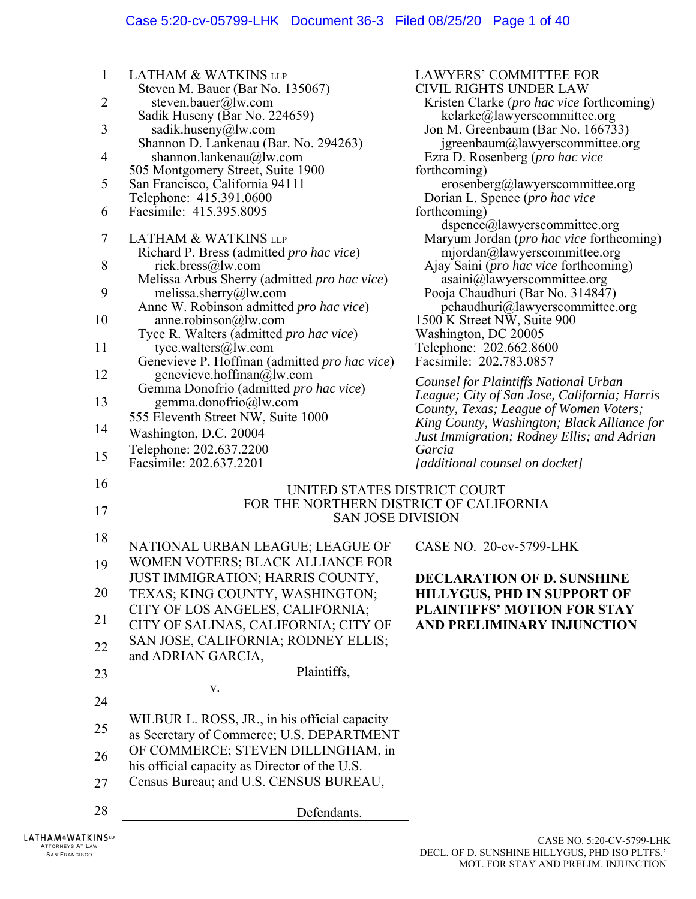# Case 5:20-cv-05799-LHK Document 36-3 Filed 08/25/20 Page 1 of 40

| $\mathbf{1}$ | <b>LATHAM &amp; WATKINS LLP</b>                                                         | <b>LAWYERS' COMMITTEE FOR</b>                                                         |
|--------------|-----------------------------------------------------------------------------------------|---------------------------------------------------------------------------------------|
| 2            | Steven M. Bauer (Bar No. 135067)<br>steven.bauer@lw.com                                 | <b>CIVIL RIGHTS UNDER LAW</b><br>Kristen Clarke ( <i>pro hac vice</i> forthcoming)    |
|              | Sadik Huseny (Bar No. 224659)                                                           | kclarke@lawyerscommittee.org                                                          |
| 3            | sadik.huseny@lw.com<br>Shannon D. Lankenau (Bar. No. 294263)                            | Jon M. Greenbaum (Bar No. 166733)<br>igreenbaum@lawyerscommittee.org                  |
| 4            | shannon.lankenau@lw.com                                                                 | Ezra D. Rosenberg ( <i>pro hac vice</i>                                               |
|              | 505 Montgomery Street, Suite 1900                                                       | forthcoming)                                                                          |
| 5            | San Francisco, California 94111<br>Telephone: 415.391.0600                              | erosenberg@lawyerscommittee.org<br>Dorian L. Spence ( <i>pro hac vice</i>             |
| 6            | Facsimile: 415.395.8095                                                                 | forthcoming)                                                                          |
|              |                                                                                         | dspence@lawyerscommittee.org                                                          |
| 7            | <b>LATHAM &amp; WATKINS LLP</b><br>Richard P. Bress (admitted pro hac vice)             | Maryum Jordan (pro hac vice forthcoming)<br>mjordan@lawyerscommittee.org              |
| 8            | rick.bress@lw.com                                                                       | Ajay Saini (pro hac vice forthcoming)                                                 |
|              | Melissa Arbus Sherry (admitted pro hac vice)                                            | asaini@lawyerscommittee.org                                                           |
| 9            | melissa.sherry@lw.com<br>Anne W. Robinson admitted pro hac vice)                        | Pooja Chaudhuri (Bar No. 314847)<br>pchaudhuri@lawyerscommittee.org                   |
| 10           | anne. robinson@lw.com                                                                   | 1500 K Street NW, Suite 900                                                           |
|              | Tyce R. Walters (admitted <i>pro hac vice</i> )                                         | Washington, DC 20005                                                                  |
| 11           | tyce.walters@lw.com<br>Genevieve P. Hoffman (admitted pro hac vice)                     | Telephone: 202.662.8600<br>Facsimile: 202.783.0857                                    |
| 12           | genevieve.hoffman@lw.com                                                                |                                                                                       |
|              | Gemma Donofrio (admitted pro hac vice)                                                  | Counsel for Plaintiffs National Urban<br>League; City of San Jose, California; Harris |
| 13           | gemma.donofrio@lw.com                                                                   | County, Texas; League of Women Voters;                                                |
| 14           | 555 Eleventh Street NW, Suite 1000<br>Washington, D.C. 20004                            | King County, Washington; Black Alliance for                                           |
|              | Telephone: 202.637.2200                                                                 | Just Immigration; Rodney Ellis; and Adrian<br>Garcia                                  |
| 15           | Facsimile: 202.637.2201                                                                 | [additional counsel on docket]                                                        |
| 16           | UNITED STATES DISTRICT COURT                                                            |                                                                                       |
|              | FOR THE NORTHERN DISTRICT OF CALIFORNIA                                                 |                                                                                       |
| 17           | <b>SAN JOSE DIVISION</b>                                                                |                                                                                       |
| 18           |                                                                                         |                                                                                       |
|              | NATIONAL URBAN LEAGUE; LEAGUE OF<br>WOMEN VOTERS; BLACK ALLIANCE FOR                    | CASE NO. 20-cv-5799-LHK                                                               |
| 19           | JUST IMMIGRATION; HARRIS COUNTY,                                                        | <b>DECLARATION OF D. SUNSHINE</b>                                                     |
| 20           | TEXAS; KING COUNTY, WASHINGTON;                                                         | <b>HILLYGUS, PHD IN SUPPORT OF</b>                                                    |
|              | CITY OF LOS ANGELES, CALIFORNIA;                                                        | PLAINTIFFS' MOTION FOR STAY                                                           |
| 21           | CITY OF SALINAS, CALIFORNIA; CITY OF                                                    | AND PRELIMINARY INJUNCTION                                                            |
| 22           | SAN JOSE, CALIFORNIA; RODNEY ELLIS;                                                     |                                                                                       |
|              | and ADRIAN GARCIA,<br>Plaintiffs,                                                       |                                                                                       |
| 23           | V.                                                                                      |                                                                                       |
| 24           |                                                                                         |                                                                                       |
|              | WILBUR L. ROSS, JR., in his official capacity                                           |                                                                                       |
| 25           | as Secretary of Commerce; U.S. DEPARTMENT                                               |                                                                                       |
| 26           | OF COMMERCE; STEVEN DILLINGHAM, in                                                      |                                                                                       |
|              | his official capacity as Director of the U.S.<br>Census Bureau; and U.S. CENSUS BUREAU, |                                                                                       |
| 27           |                                                                                         |                                                                                       |
| 28           | Defendants.                                                                             |                                                                                       |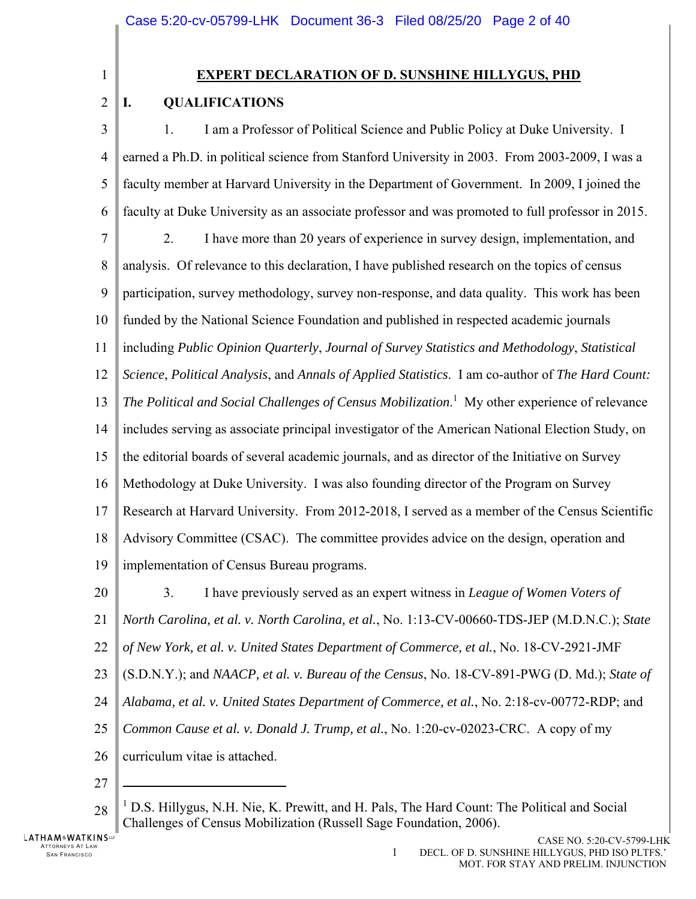1

 $\overline{2}$ 

# **EXPERT DECLARATION OF D. SUNSHINE HILLYGUS, PHD**

# **I. QUALIFICATIONS**

3 4 5 6 7 8 9 10 11 12 13 14 15 16 17 18 19 1. I am a Professor of Political Science and Public Policy at Duke University. I earned a Ph.D. in political science from Stanford University in 2003. From 2003-2009, I was a faculty member at Harvard University in the Department of Government. In 2009, I joined the faculty at Duke University as an associate professor and was promoted to full professor in 2015. 2. I have more than 20 years of experience in survey design, implementation, and analysis. Of relevance to this declaration, I have published research on the topics of census participation, survey methodology, survey non-response, and data quality. This work has been funded by the National Science Foundation and published in respected academic journals including *Public Opinion Quarterly*, *Journal of Survey Statistics and Methodology*, *Statistical Science*, *Political Analysis*, and *Annals of Applied Statistics*. I am co-author of *The Hard Count:*  The Political and Social Challenges of Census Mobilization.<sup>1</sup> My other experience of relevance includes serving as associate principal investigator of the American National Election Study, on the editorial boards of several academic journals, and as director of the Initiative on Survey Methodology at Duke University. I was also founding director of the Program on Survey Research at Harvard University. From 2012-2018, I served as a member of the Census Scientific Advisory Committee (CSAC). The committee provides advice on the design, operation and implementation of Census Bureau programs.

- 20 21 22 23 24 25 26 3. I have previously served as an expert witness in *League of Women Voters of North Carolina, et al. v. North Carolina, et al.*, No. 1:13-CV-00660-TDS-JEP (M.D.N.C.); *State of New York, et al. v. United States Department of Commerce, et al.*, No. 18-CV-2921-JMF (S.D.N.Y.); and *NAACP, et al. v. Bureau of the Census*, No. 18-CV-891-PWG (D. Md.); *State of Alabama, et al. v. United States Department of Commerce, et al.*, No. 2:18-cv-00772-RDP; and *Common Cause et al. v. Donald J. Trump, et al.*, No. 1:20-cv-02023-CRC. A copy of my curriculum vitae is attached.
- 27

 $\overline{a}$ 

<sup>28</sup> <sup>1</sup> D.S. Hillygus, N.H. Nie, K. Prewitt, and H. Pals, The Hard Count: The Political and Social Challenges of Census Mobilization (Russell Sage Foundation, 2006).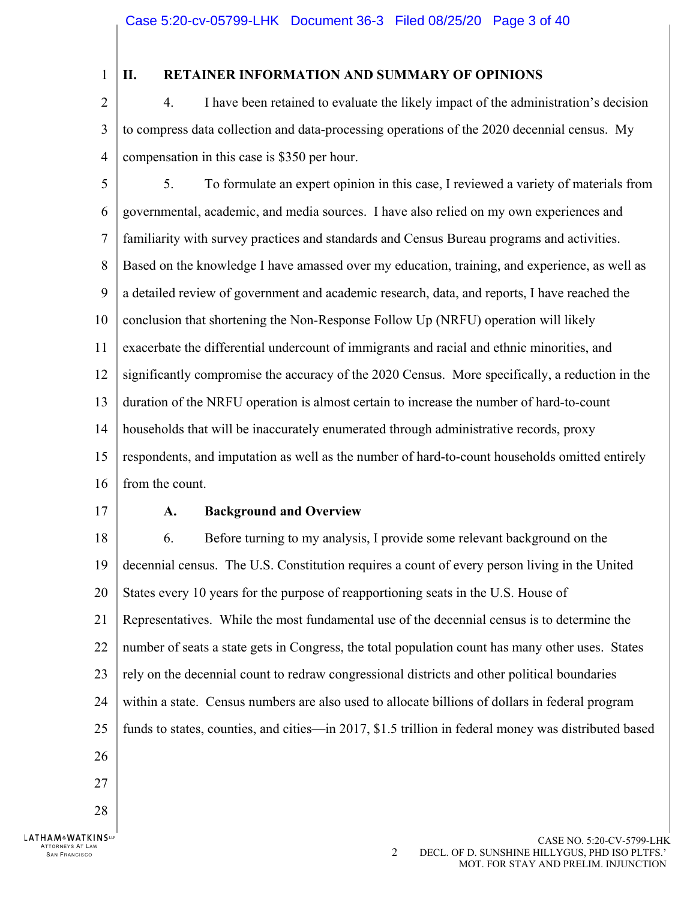1

# **II. RETAINER INFORMATION AND SUMMARY OF OPINIONS**

 $\overline{2}$ 3 4 4. I have been retained to evaluate the likely impact of the administration's decision to compress data collection and data-processing operations of the 2020 decennial census. My compensation in this case is \$350 per hour.

5 6 7 8 9 10 11 12 13 14 15 16 5. To formulate an expert opinion in this case, I reviewed a variety of materials from governmental, academic, and media sources. I have also relied on my own experiences and familiarity with survey practices and standards and Census Bureau programs and activities. Based on the knowledge I have amassed over my education, training, and experience, as well as a detailed review of government and academic research, data, and reports, I have reached the conclusion that shortening the Non-Response Follow Up (NRFU) operation will likely exacerbate the differential undercount of immigrants and racial and ethnic minorities, and significantly compromise the accuracy of the 2020 Census. More specifically, a reduction in the duration of the NRFU operation is almost certain to increase the number of hard-to-count households that will be inaccurately enumerated through administrative records, proxy respondents, and imputation as well as the number of hard-to-count households omitted entirely from the count.

17

ATTORNEYS AT LAW

**LATHAM&WATKINSLP** 

### **A. Background and Overview**

18 19 20 21 22 23 24 25 26 27 28 6. Before turning to my analysis, I provide some relevant background on the decennial census. The U.S. Constitution requires a count of every person living in the United States every 10 years for the purpose of reapportioning seats in the U.S. House of Representatives. While the most fundamental use of the decennial census is to determine the number of seats a state gets in Congress, the total population count has many other uses. States rely on the decennial count to redraw congressional districts and other political boundaries within a state. Census numbers are also used to allocate billions of dollars in federal program funds to states, counties, and cities—in 2017, \$1.5 trillion in federal money was distributed based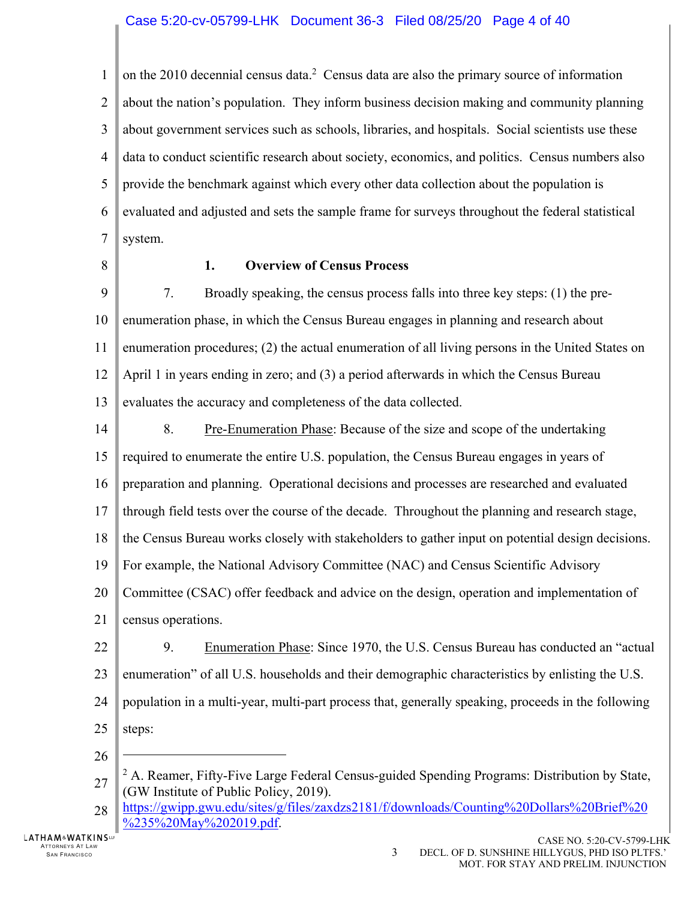1  $\mathfrak{D}$ 3 4 5 6 7 on the 2010 decennial census data.<sup>2</sup> Census data are also the primary source of information about the nation's population. They inform business decision making and community planning about government services such as schools, libraries, and hospitals. Social scientists use these data to conduct scientific research about society, economics, and politics. Census numbers also provide the benchmark against which every other data collection about the population is evaluated and adjusted and sets the sample frame for surveys throughout the federal statistical system.

8

## **1. Overview of Census Process**

9 10 11 12 13 7. Broadly speaking, the census process falls into three key steps: (1) the preenumeration phase, in which the Census Bureau engages in planning and research about enumeration procedures; (2) the actual enumeration of all living persons in the United States on April 1 in years ending in zero; and (3) a period afterwards in which the Census Bureau evaluates the accuracy and completeness of the data collected.

- 14 15 16 17 18 19 20 21 8. Pre-Enumeration Phase: Because of the size and scope of the undertaking required to enumerate the entire U.S. population, the Census Bureau engages in years of preparation and planning. Operational decisions and processes are researched and evaluated through field tests over the course of the decade. Throughout the planning and research stage, the Census Bureau works closely with stakeholders to gather input on potential design decisions. For example, the National Advisory Committee (NAC) and Census Scientific Advisory Committee (CSAC) offer feedback and advice on the design, operation and implementation of census operations.
- 22 23 24 25 9. Enumeration Phase: Since 1970, the U.S. Census Bureau has conducted an "actual enumeration" of all U.S. households and their demographic characteristics by enlisting the U.S. population in a multi-year, multi-part process that, generally speaking, proceeds in the following steps:
- 26

 $\overline{a}$ 

LATHAM&WATKINSW ATTORNEYS AT LAW SAN FRANCISCO **3** 

<sup>27</sup> <sup>2</sup> A. Reamer, Fifty-Five Large Federal Census-guided Spending Programs: Distribution by State, (GW Institute of Public Policy, 2019).

<sup>28</sup> https://gwipp.gwu.edu/sites/g/files/zaxdzs2181/f/downloads/Counting%20Dollars%20Brief%20 %235%20May%202019.pdf.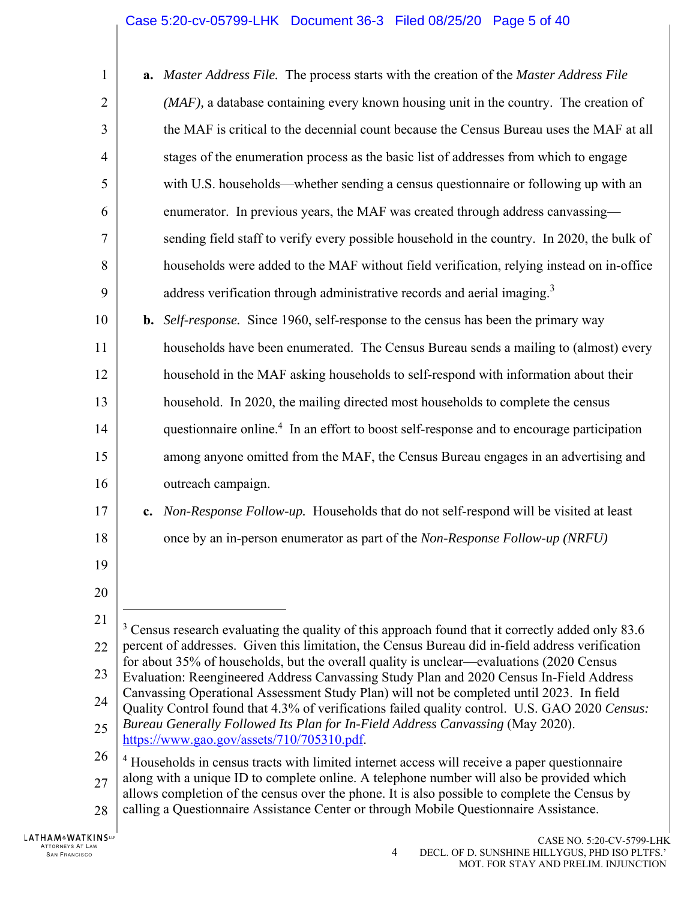# Case 5:20-cv-05799-LHK Document 36-3 Filed 08/25/20 Page 5 of 40

| $\mathbf{1}$   | a. Master Address File. The process starts with the creation of the Master Address File                                                                                                      |
|----------------|----------------------------------------------------------------------------------------------------------------------------------------------------------------------------------------------|
| $\overline{2}$ | $(MAF)$ , a database containing every known housing unit in the country. The creation of                                                                                                     |
| 3              | the MAF is critical to the decennial count because the Census Bureau uses the MAF at all                                                                                                     |
| $\overline{4}$ | stages of the enumeration process as the basic list of addresses from which to engage                                                                                                        |
| 5              | with U.S. households—whether sending a census questionnaire or following up with an                                                                                                          |
| 6              | enumerator. In previous years, the MAF was created through address canvassing—                                                                                                               |
| 7              | sending field staff to verify every possible household in the country. In 2020, the bulk of                                                                                                  |
| 8              | households were added to the MAF without field verification, relying instead on in-office                                                                                                    |
| 9              | address verification through administrative records and aerial imaging. <sup>3</sup>                                                                                                         |
| 10             | <b>b.</b> Self-response. Since 1960, self-response to the census has been the primary way                                                                                                    |
| 11             | households have been enumerated. The Census Bureau sends a mailing to (almost) every                                                                                                         |
| 12             | household in the MAF asking households to self-respond with information about their                                                                                                          |
| 13             | household. In 2020, the mailing directed most households to complete the census                                                                                                              |
| 14             | questionnaire online. <sup>4</sup> In an effort to boost self-response and to encourage participation                                                                                        |
| 15             | among anyone omitted from the MAF, the Census Bureau engages in an advertising and                                                                                                           |
| 16             | outreach campaign.                                                                                                                                                                           |
| 17             | c. Non-Response Follow-up. Households that do not self-respond will be visited at least                                                                                                      |
| 18             | once by an in-person enumerator as part of the Non-Response Follow-up (NRFU)                                                                                                                 |
| 19             |                                                                                                                                                                                              |
| 20             |                                                                                                                                                                                              |
| 21             | $3$ Census research evaluating the quality of this approach found that it correctly added only 83.6                                                                                          |
| 22             | percent of addresses. Given this limitation, the Census Bureau did in-field address verification<br>for about 35% of households, but the overall quality is unclear—evaluations (2020 Census |
| 23             | Evaluation: Reengineered Address Canvassing Study Plan and 2020 Census In-Field Address                                                                                                      |
| 24             | Canvassing Operational Assessment Study Plan) will not be completed until 2023. In field<br>Quality Control found that 4.3% of verifications failed quality control. U.S. GAO 2020 Census:   |
| 25             | Bureau Generally Followed Its Plan for In-Field Address Canvassing (May 2020).<br>https://www.gao.gov/assets/710/705310.pdf.                                                                 |
| 26             | <sup>4</sup> Households in census tracts with limited internet access will receive a paper questionnaire                                                                                     |
| 27             | along with a unique ID to complete online. A telephone number will also be provided which<br>allows completion of the census over the phone. It is also possible to complete the Census by   |
| 28             | calling a Questionnaire Assistance Center or through Mobile Questionnaire Assistance.                                                                                                        |
|                |                                                                                                                                                                                              |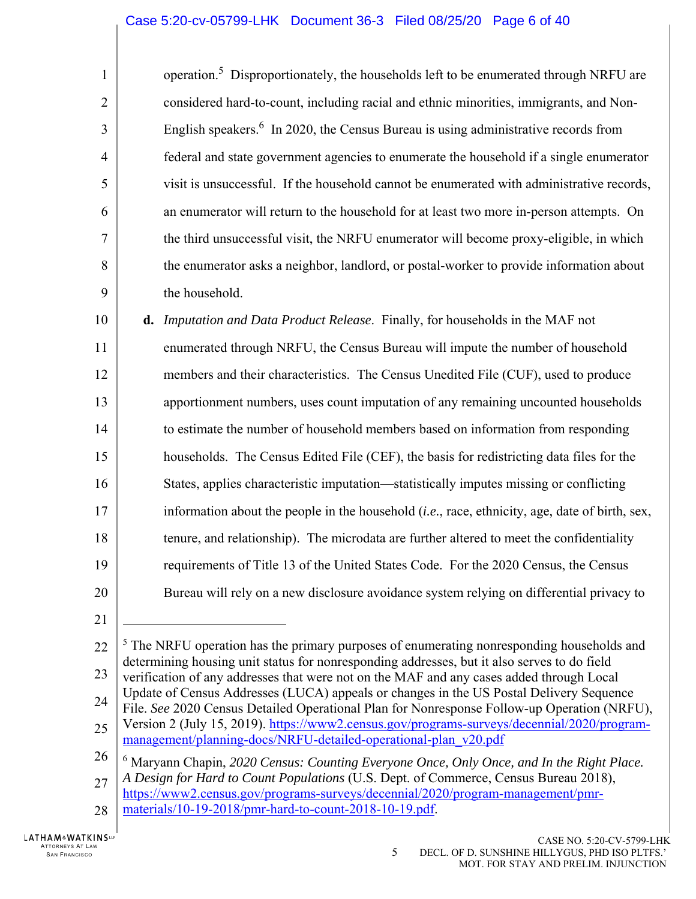## Case 5:20-cv-05799-LHK Document 36-3 Filed 08/25/20 Page 6 of 40

| $\mathbf{1}$   | operation. <sup>5</sup> Disproportionately, the households left to be enumerated through NRFU are |
|----------------|---------------------------------------------------------------------------------------------------|
| $\overline{2}$ | considered hard-to-count, including racial and ethnic minorities, immigrants, and Non-            |
| $\overline{3}$ | English speakers. $6 \text{ In } 2020$ , the Census Bureau is using administrative records from   |
| $\overline{4}$ | federal and state government agencies to enumerate the household if a single enumerator           |
| 5              | visit is unsuccessful. If the household cannot be enumerated with administrative records,         |
| 6              | an enumerator will return to the household for at least two more in-person attempts. On           |
| $\overline{7}$ | the third unsuccessful visit, the NRFU enumerator will become proxy-eligible, in which            |
| 8              | the enumerator asks a neighbor, landlord, or postal-worker to provide information about           |
| 9              | the household.                                                                                    |
|                |                                                                                                   |

10 11 12 13 14 15 16 17 18 19 20 **d.** *Imputation and Data Product Release*. Finally, for households in the MAF not enumerated through NRFU, the Census Bureau will impute the number of household members and their characteristics. The Census Unedited File (CUF), used to produce apportionment numbers, uses count imputation of any remaining uncounted households to estimate the number of household members based on information from responding households. The Census Edited File (CEF), the basis for redistricting data files for the States, applies characteristic imputation—statistically imputes missing or conflicting information about the people in the household (*i.e.*, race, ethnicity, age, date of birth, sex, tenure, and relationship). The microdata are further altered to meet the confidentiality requirements of Title 13 of the United States Code. For the 2020 Census, the Census Bureau will rely on a new disclosure avoidance system relying on differential privacy to

21

1

22 23  $<sup>5</sup>$  The NRFU operation has the primary purposes of enumerating nonresponding households and</sup> determining housing unit status for nonresponding addresses, but it also serves to do field verification of any addresses that were not on the MAF and any cases added through Local

- 24 Update of Census Addresses (LUCA) appeals or changes in the US Postal Delivery Sequence
- File. *See* 2020 Census Detailed Operational Plan for Nonresponse Follow-up Operation (NRFU),
- 25 Version 2 (July 15, 2019). https://www2.census.gov/programs-surveys/decennial/2020/programmanagement/planning-docs/NRFU-detailed-operational-plan\_v20.pdf
- 26 <sup>6</sup> Maryann Chapin, 2020 Census: Counting Everyone Once, Only Once, and In the Right Place.
- 27 *A Design for Hard to Count Populations* (U.S. Dept. of Commerce, Census Bureau 2018), https://www2.census.gov/programs-surveys/decennial/2020/program-management/pmr-
- 28 materials/10-19-2018/pmr-hard-to-count-2018-10-19.pdf.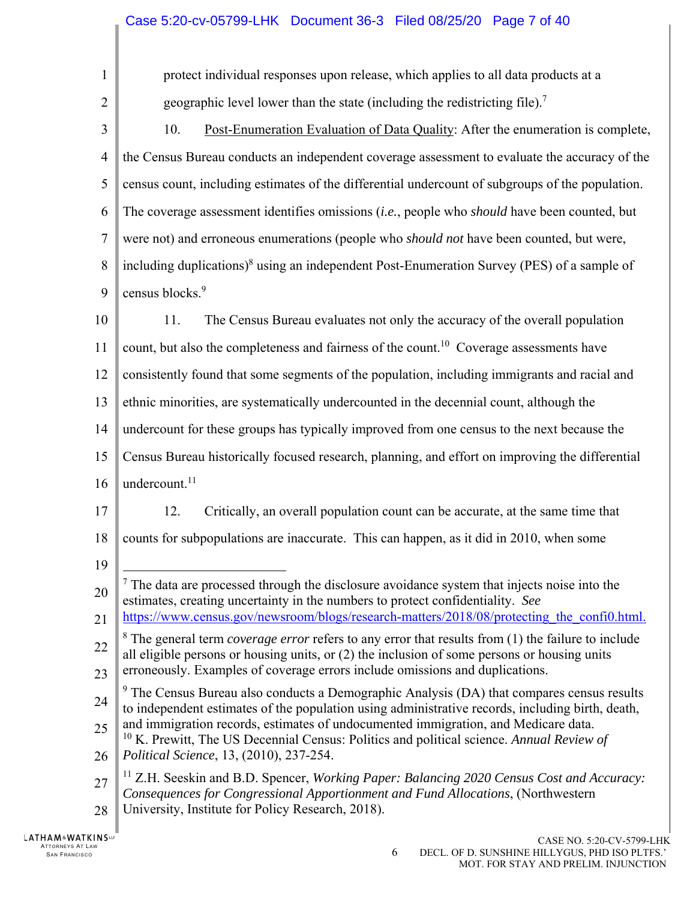1  $\mathcal{D}_{\mathcal{L}}$ 3 4 5 6 7 8 9 10 11 12 13 14 15 16 17 18 19 20 21 22 23 24 25 26 27 28 protect individual responses upon release, which applies to all data products at a geographic level lower than the state (including the redistricting file).<sup>7</sup> 10. Post-Enumeration Evaluation of Data Quality: After the enumeration is complete, the Census Bureau conducts an independent coverage assessment to evaluate the accuracy of the census count, including estimates of the differential undercount of subgroups of the population. The coverage assessment identifies omissions (*i.e.*, people who *should* have been counted, but were not) and erroneous enumerations (people who *should not* have been counted, but were, including duplications)<sup>8</sup> using an independent Post-Enumeration Survey (PES) of a sample of census blocks.<sup>9</sup> 11. The Census Bureau evaluates not only the accuracy of the overall population count, but also the completeness and fairness of the count.<sup>10</sup> Coverage assessments have consistently found that some segments of the population, including immigrants and racial and ethnic minorities, are systematically undercounted in the decennial count, although the undercount for these groups has typically improved from one census to the next because the Census Bureau historically focused research, planning, and effort on improving the differential undercount. $11$ 12. Critically, an overall population count can be accurate, at the same time that counts for subpopulations are inaccurate. This can happen, as it did in 2010, when some 1  $<sup>7</sup>$  The data are processed through the disclosure avoidance system that injects noise into the</sup> estimates, creating uncertainty in the numbers to protect confidentiality. *See*  https://www.census.gov/newsroom/blogs/research-matters/2018/08/protecting the confi0.html. 8 The general term *coverage error* refers to any error that results from (1) the failure to include all eligible persons or housing units, or (2) the inclusion of some persons or housing units erroneously. Examples of coverage errors include omissions and duplications.  $9$  The Census Bureau also conducts a Demographic Analysis (DA) that compares census results to independent estimates of the population using administrative records, including birth, death, and immigration records, estimates of undocumented immigration, and Medicare data. 10 K. Prewitt, The US Decennial Census: Politics and political science. *Annual Review of Political Science*, 13, (2010), 237-254. 11 Z.H. Seeskin and B.D. Spencer, *Working Paper: Balancing 2020 Census Cost and Accuracy: Consequences for Congressional Apportionment and Fund Allocations*, (Northwestern University, Institute for Policy Research, 2018).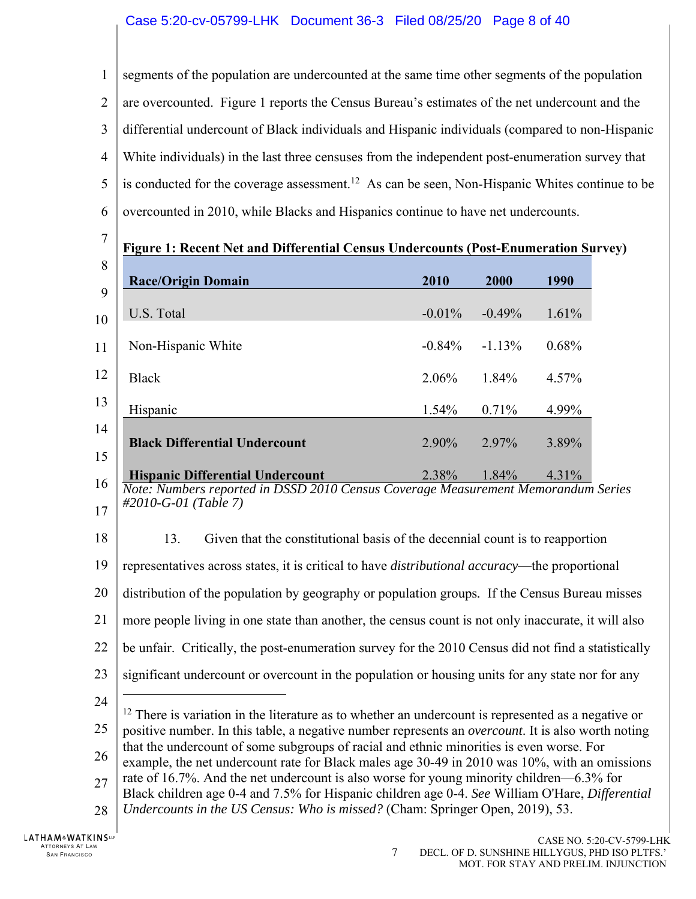1  $\overline{2}$ 3 4 5 6 segments of the population are undercounted at the same time other segments of the population are overcounted. Figure 1 reports the Census Bureau's estimates of the net undercount and the differential undercount of Black individuals and Hispanic individuals (compared to non-Hispanic White individuals) in the last three censuses from the independent post-enumeration survey that is conducted for the coverage assessment.<sup>12</sup> As can be seen, Non-Hispanic Whites continue to be overcounted in 2010, while Blacks and Hispanics continue to have net undercounts.

7

**Figure 1: Recent Net and Differential Census Undercounts (Post-Enumeration Survey)** 

| 8              |                                         |          |          |       |
|----------------|-----------------------------------------|----------|----------|-------|
|                | <b>Race/Origin Domain</b>               | 2010     | 2000     | 1990  |
| 9              |                                         |          |          |       |
| 10             | U.S. Total                              | $-0.01%$ | $-0.49%$ | 1.61% |
|                |                                         |          |          |       |
| 11             | Non-Hispanic White                      | $-0.84%$ | $-1.13%$ | 0.68% |
|                |                                         |          |          |       |
| 12             | <b>Black</b>                            | 2.06%    | 1.84%    | 4.57% |
| 13             |                                         |          |          |       |
|                | Hispanic                                | 1.54%    | 0.71%    | 4.99% |
| 14             |                                         |          |          |       |
|                | <b>Black Differential Undercount</b>    | 2.90%    | 2.97%    | 3.89% |
| 15             |                                         |          |          |       |
| 1 <sup>2</sup> | <b>Hispanic Differential Undercount</b> | 2.38%    | 1.84%    | 4.31% |

<sup>16</sup> 17 *Note: Numbers reported in DSSD 2010 Census Coverage Measurement Memorandum Series #2010-G-01 (Table 7)* 

18

13. Given that the constitutional basis of the decennial count is to reapportion

19 representatives across states, it is critical to have *distributional accuracy*—the proportional

20 distribution of the population by geography or population groups*.* If the Census Bureau misses

21 more people living in one state than another, the census count is not only inaccurate, it will also

22 be unfair. Critically, the post-enumeration survey for the 2010 Census did not find a statistically

23 significant undercount or overcount in the population or housing units for any state nor for any

24

 $\overline{a}$ 

25  $12$  There is variation in the literature as to whether an undercount is represented as a negative or positive number. In this table, a negative number represents an *overcount*. It is also worth noting that the undercount of some subgroups of racial and ethnic minorities is even worse. For

- 26 example, the net undercount rate for Black males age 30-49 in 2010 was 10%, with an omissions
- 27 rate of 16.7%. And the net undercount is also worse for young minority children—6.3% for
- Black children age 0-4 and 7.5% for Hispanic children age 0-4. *See* William O'Hare, *Differential*
- 28 *Undercounts in the US Census: Who is missed?* (Cham: Springer Open, 2019), 53.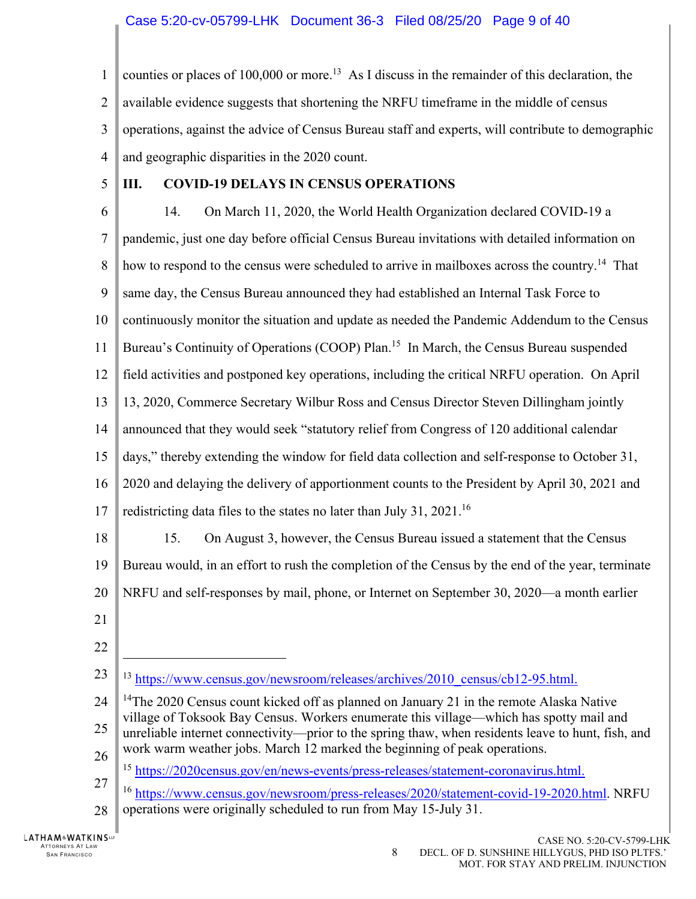1  $\mathcal{D}_{\mathcal{L}}$ 3 4 counties or places of 100,000 or more.<sup>13</sup> As I discuss in the remainder of this declaration, the available evidence suggests that shortening the NRFU timeframe in the middle of census operations, against the advice of Census Bureau staff and experts, will contribute to demographic and geographic disparities in the 2020 count.

5

## **III. COVID-19 DELAYS IN CENSUS OPERATIONS**

6 7 8 9 10 11 12 13 14 15 16 17 18 19 20 21 22 23 24 25 26 27 28 14. On March 11, 2020, the World Health Organization declared COVID-19 a pandemic, just one day before official Census Bureau invitations with detailed information on how to respond to the census were scheduled to arrive in mailboxes across the country.<sup>14</sup> That same day, the Census Bureau announced they had established an Internal Task Force to continuously monitor the situation and update as needed the Pandemic Addendum to the Census Bureau's Continuity of Operations (COOP) Plan.<sup>15</sup> In March, the Census Bureau suspended field activities and postponed key operations, including the critical NRFU operation. On April 13, 2020, Commerce Secretary Wilbur Ross and Census Director Steven Dillingham jointly announced that they would seek "statutory relief from Congress of 120 additional calendar days," thereby extending the window for field data collection and self-response to October 31, 2020 and delaying the delivery of apportionment counts to the President by April 30, 2021 and redistricting data files to the states no later than July 31,  $2021$ .<sup>16</sup> 15. On August 3, however, the Census Bureau issued a statement that the Census Bureau would, in an effort to rush the completion of the Census by the end of the year, terminate NRFU and self-responses by mail, phone, or Internet on September 30, 2020—a month earlier  $\overline{a}$ <sup>13</sup> https://www.census.gov/newsroom/releases/archives/2010\_census/cb12-95.html. <sup>14</sup>The 2020 Census count kicked off as planned on January 21 in the remote Alaska Native village of Toksook Bay Census. Workers enumerate this village—which has spotty mail and unreliable internet connectivity—prior to the spring thaw, when residents leave to hunt, fish, and work warm weather jobs. March 12 marked the beginning of peak operations. <sup>15</sup> https://2020census.gov/en/news-events/press-releases/statement-coronavirus.html. <sup>16</sup> https://www.census.gov/newsroom/press-releases/2020/statement-covid-19-2020.html. NRFU operations were originally scheduled to run from May 15-July 31.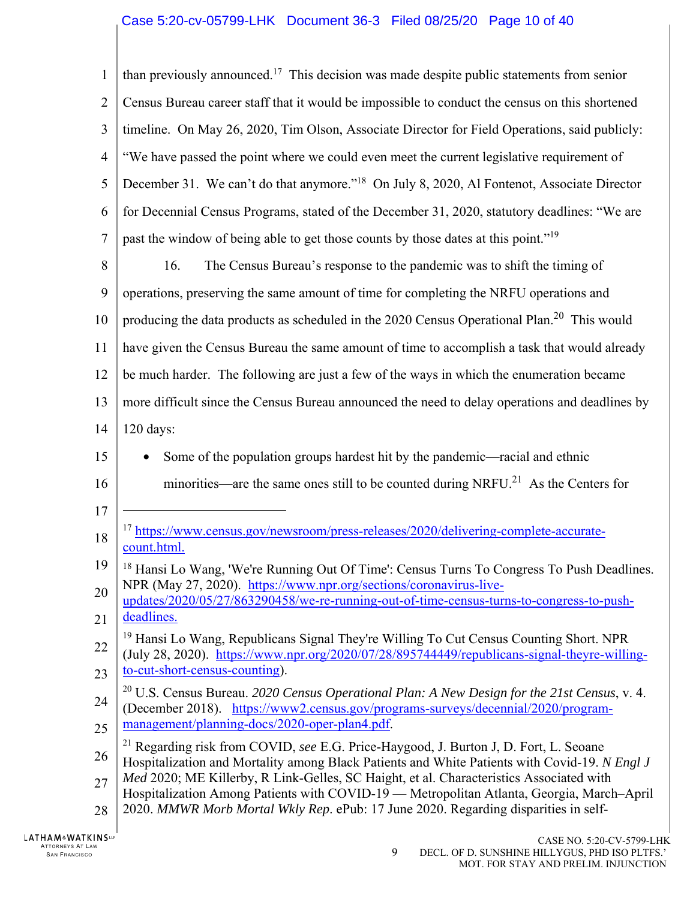## Case 5:20-cv-05799-LHK Document 36-3 Filed 08/25/20 Page 10 of 40

1  $\mathfrak{D}$ 3 4 5 6 7 8 9 10 11 12 13 14 15 16 17 18 19 20 21 22 23 24 25 26 27 28 than previously announced.17 This decision was made despite public statements from senior Census Bureau career staff that it would be impossible to conduct the census on this shortened timeline. On May 26, 2020, Tim Olson, Associate Director for Field Operations, said publicly: "We have passed the point where we could even meet the current legislative requirement of December 31. We can't do that anymore."<sup>18</sup> On July 8, 2020, Al Fontenot, Associate Director for Decennial Census Programs, stated of the December 31, 2020, statutory deadlines: "We are past the window of being able to get those counts by those dates at this point."<sup>19</sup> 16. The Census Bureau's response to the pandemic was to shift the timing of operations, preserving the same amount of time for completing the NRFU operations and producing the data products as scheduled in the 2020 Census Operational Plan.<sup>20</sup> This would have given the Census Bureau the same amount of time to accomplish a task that would already be much harder. The following are just a few of the ways in which the enumeration became more difficult since the Census Bureau announced the need to delay operations and deadlines by 120 days: • Some of the population groups hardest hit by the pandemic—racial and ethnic minorities—are the same ones still to be counted during NRFU.<sup>21</sup> As the Centers for  $\overline{a}$ <sup>17</sup> https://www.census.gov/newsroom/press-releases/2020/delivering-complete-accuratecount.html. <sup>18</sup> Hansi Lo Wang, 'We're Running Out Of Time': Census Turns To Congress To Push Deadlines. NPR (May 27, 2020). https://www.npr.org/sections/coronavirus-liveupdates/2020/05/27/863290458/we-re-running-out-of-time-census-turns-to-congress-to-pushdeadlines. <sup>19</sup> Hansi Lo Wang, Republicans Signal They're Willing To Cut Census Counting Short. NPR (July 28, 2020). https://www.npr.org/2020/07/28/895744449/republicans-signal-theyre-willingto-cut-short-census-counting). 20 U.S. Census Bureau. *2020 Census Operational Plan: A New Design for the 21st Census*, v. 4. (December 2018). https://www2.census.gov/programs-surveys/decennial/2020/programmanagement/planning-docs/2020-oper-plan4.pdf. 21 Regarding risk from COVID, *see* E.G. Price-Haygood, J. Burton J, D. Fort, L. Seoane Hospitalization and Mortality among Black Patients and White Patients with Covid-19. *N Engl J Med* 2020; ME Killerby, R Link-Gelles, SC Haight, et al. Characteristics Associated with Hospitalization Among Patients with COVID-19 — Metropolitan Atlanta, Georgia, March–April 2020. *MMWR Morb Mortal Wkly Rep*. ePub: 17 June 2020. Regarding disparities in self-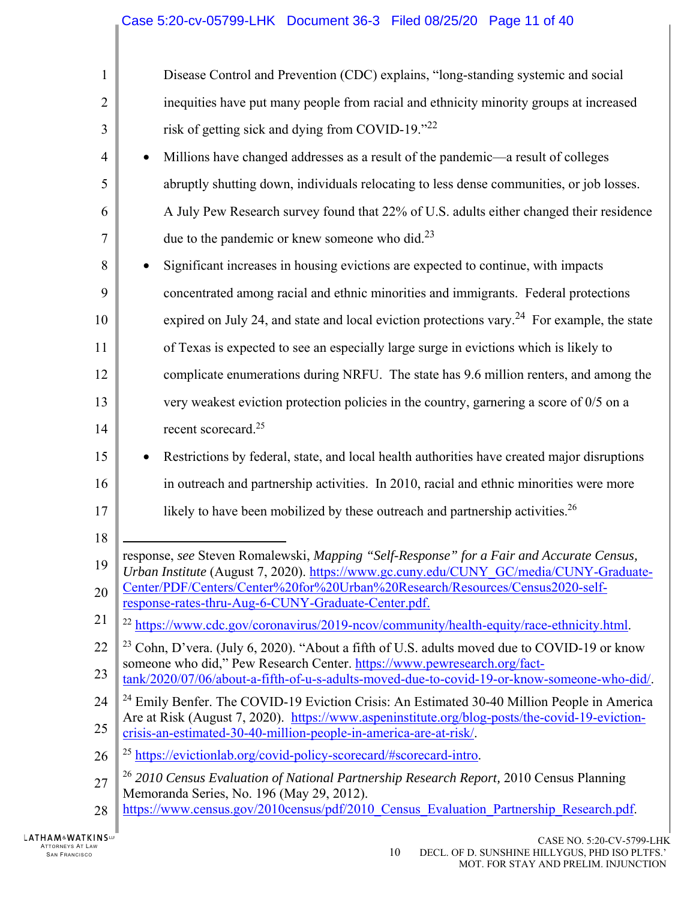| 1              | Disease Control and Prevention (CDC) explains, "long-standing systemic and social                                                                                                  |
|----------------|------------------------------------------------------------------------------------------------------------------------------------------------------------------------------------|
| $\overline{2}$ | inequities have put many people from racial and ethnicity minority groups at increased                                                                                             |
| 3              | risk of getting sick and dying from COVID-19."22                                                                                                                                   |
| $\overline{4}$ | Millions have changed addresses as a result of the pandemic—a result of colleges                                                                                                   |
| 5              | abruptly shutting down, individuals relocating to less dense communities, or job losses.                                                                                           |
| 6              | A July Pew Research survey found that 22% of U.S. adults either changed their residence                                                                                            |
| 7              | due to the pandemic or knew someone who did. $^{23}$                                                                                                                               |
| 8              | Significant increases in housing evictions are expected to continue, with impacts                                                                                                  |
| 9              | concentrated among racial and ethnic minorities and immigrants. Federal protections                                                                                                |
| 10             | expired on July 24, and state and local eviction protections vary. <sup>24</sup> For example, the state                                                                            |
| 11             | of Texas is expected to see an especially large surge in evictions which is likely to                                                                                              |
| 12             | complicate enumerations during NRFU. The state has 9.6 million renters, and among the                                                                                              |
| 13             | very weakest eviction protection policies in the country, garnering a score of $0/5$ on a                                                                                          |
| 14             | recent scorecard. <sup>25</sup>                                                                                                                                                    |
| 15             | Restrictions by federal, state, and local health authorities have created major disruptions                                                                                        |
| 16             | in outreach and partnership activities. In 2010, racial and ethnic minorities were more                                                                                            |
| 17             | likely to have been mobilized by these outreach and partnership activities. <sup>26</sup>                                                                                          |
| 18             |                                                                                                                                                                                    |
| 19             | response, see Steven Romalewski, Mapping "Self-Response" for a Fair and Accurate Census,<br>Urban Institute (August 7, 2020). https://www.gc.cuny.edu/CUNY_GC/media/CUNY-Graduate- |
| 20             | Center/PDF/Centers/Center%20for%20Urban%20Research/Resources/Census2020-self-<br>response-rates-thru-Aug-6-CUNY-Graduate-Center.pdf.                                               |
| 21             | <sup>22</sup> https://www.cdc.gov/coronavirus/2019-ncov/community/health-equity/race-ethnicity.html.                                                                               |
| 22             | <sup>23</sup> Cohn, D'vera. (July 6, 2020). "About a fifth of U.S. adults moved due to COVID-19 or know                                                                            |
| 23             | someone who did," Pew Research Center. https://www.pewresearch.org/fact-<br>tank/2020/07/06/about-a-fifth-of-u-s-adults-moved-due-to-covid-19-or-know-someone-who-did/.            |
| 24             | <sup>24</sup> Emily Benfer. The COVID-19 Eviction Crisis: An Estimated 30-40 Million People in America                                                                             |
| 25             | Are at Risk (August 7, 2020). https://www.aspeninstitute.org/blog-posts/the-covid-19-eviction-<br>crisis-an-estimated-30-40-million-people-in-america-are-at-risk/.                |
| 26             | <sup>25</sup> https://evictionlab.org/covid-policy-scorecard/#scorecard-intro.                                                                                                     |
| 27             | <sup>26</sup> 2010 Census Evaluation of National Partnership Research Report, 2010 Census Planning<br>Memoranda Series, No. 196 (May 29, 2012).                                    |
| 28             | https://www.census.gov/2010census/pdf/2010 Census Evaluation Partnership Research.pdf.                                                                                             |
|                |                                                                                                                                                                                    |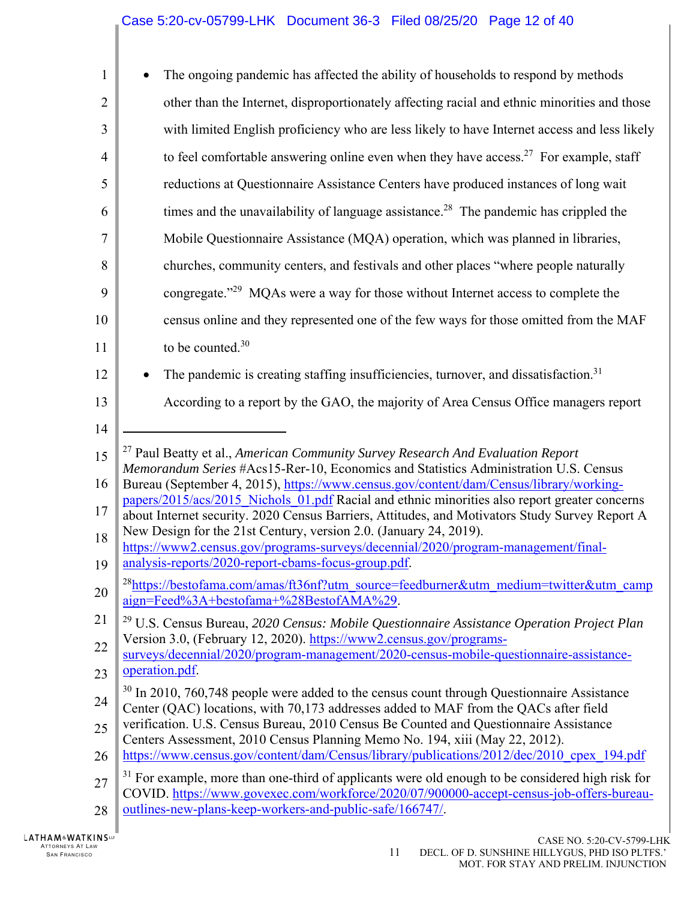| 1              | The ongoing pandemic has affected the ability of households to respond by methods                                                                                                                       |
|----------------|---------------------------------------------------------------------------------------------------------------------------------------------------------------------------------------------------------|
| $\overline{2}$ | other than the Internet, disproportionately affecting racial and ethnic minorities and those                                                                                                            |
| 3              | with limited English proficiency who are less likely to have Internet access and less likely                                                                                                            |
| $\overline{4}$ | to feel comfortable answering online even when they have access. <sup>27</sup> For example, staff                                                                                                       |
| 5              | reductions at Questionnaire Assistance Centers have produced instances of long wait                                                                                                                     |
| 6              | times and the unavailability of language assistance. <sup>28</sup> The pandemic has crippled the                                                                                                        |
| $\tau$         | Mobile Questionnaire Assistance (MQA) operation, which was planned in libraries,                                                                                                                        |
| 8              | churches, community centers, and festivals and other places "where people naturally                                                                                                                     |
| 9              | congregate." <sup>29</sup> MQAs were a way for those without Internet access to complete the                                                                                                            |
| 10             | census online and they represented one of the few ways for those omitted from the MAF                                                                                                                   |
| 11             | to be counted. <sup>30</sup>                                                                                                                                                                            |
| 12             | The pandemic is creating staffing insufficiencies, turnover, and dissatisfaction. <sup>31</sup>                                                                                                         |
| 13             | According to a report by the GAO, the majority of Area Census Office managers report                                                                                                                    |
| 14             |                                                                                                                                                                                                         |
|                |                                                                                                                                                                                                         |
| 15             | <sup>27</sup> Paul Beatty et al., American Community Survey Research And Evaluation Report                                                                                                              |
| 16             | Memorandum Series #Acs15-Rer-10, Economics and Statistics Administration U.S. Census<br>Bureau (September 4, 2015), https://www.census.gov/content/dam/Census/library/working-                          |
| 17             | papers/2015/acs/2015 Nichols 01.pdf Racial and ethnic minorities also report greater concerns<br>about Internet security. 2020 Census Barriers, Attitudes, and Motivators Study Survey Report A         |
| 18             | New Design for the 21st Century, version 2.0. (January 24, 2019).                                                                                                                                       |
| 19             | https://www2.census.gov/programs-surveys/decennial/2020/program-management/final-<br>analysis-reports/2020-report-cbams-focus-group.pdf.                                                                |
| 20             | <sup>28</sup> https://bestofama.com/amas/ft36nf?utm_source=feedburner&utm_medium=twitter&utm_camp<br>aign=Feed%3A+bestofama+%28BestofAMA%29.                                                            |
| 21             | <sup>29</sup> U.S. Census Bureau, 2020 Census: Mobile Questionnaire Assistance Operation Project Plan                                                                                                   |
| 22             | Version 3.0, (February 12, 2020). https://www2.census.gov/programs-<br>surveys/decennial/2020/program-management/2020-census-mobile-questionnaire-assistance-                                           |
| 23             | operation.pdf.                                                                                                                                                                                          |
| 24             | $30$ In 2010, 760,748 people were added to the census count through Questionnaire Assistance<br>Center (QAC) locations, with 70,173 addresses added to MAF from the QACs after field                    |
| 25             | verification. U.S. Census Bureau, 2010 Census Be Counted and Questionnaire Assistance                                                                                                                   |
| 26             | Centers Assessment, 2010 Census Planning Memo No. 194, xiii (May 22, 2012).<br>https://www.census.gov/content/dam/Census/library/publications/2012/dec/2010 cpex 194.pdf                                |
| 27             | <sup>31</sup> For example, more than one-third of applicants were old enough to be considered high risk for<br>COVID. https://www.govexec.com/workforce/2020/07/900000-accept-census-job-offers-bureau- |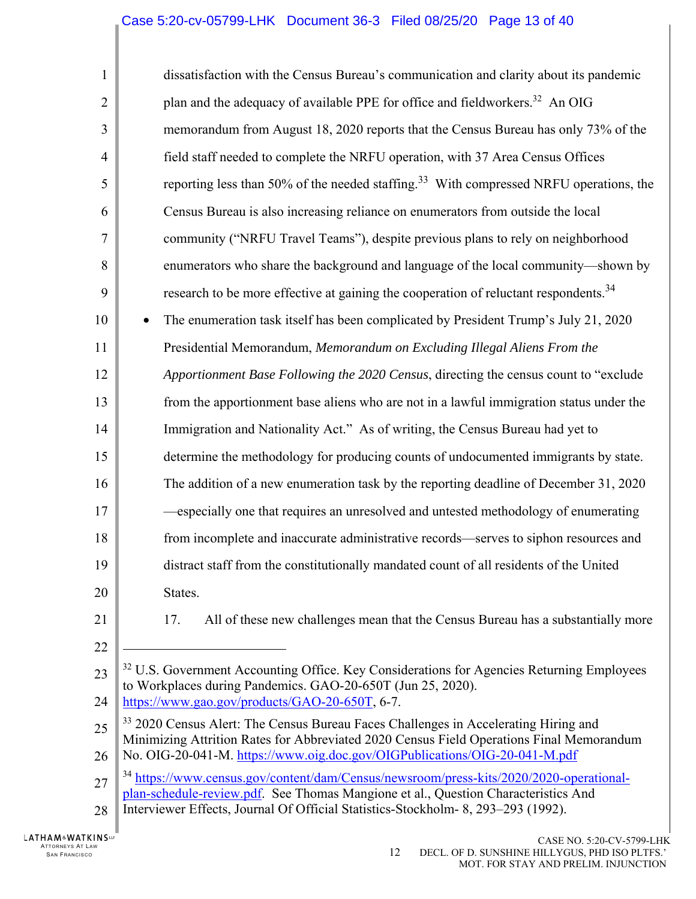| $\mathbf{1}$   | dissatisfaction with the Census Bureau's communication and clarity about its pandemic                                                                                                      |
|----------------|--------------------------------------------------------------------------------------------------------------------------------------------------------------------------------------------|
| $\overline{2}$ | plan and the adequacy of available PPE for office and fieldworkers. <sup>32</sup> An OIG                                                                                                   |
| 3              | memorandum from August 18, 2020 reports that the Census Bureau has only 73% of the                                                                                                         |
| $\overline{4}$ | field staff needed to complete the NRFU operation, with 37 Area Census Offices                                                                                                             |
| 5              | reporting less than 50% of the needed staffing. <sup>33</sup> With compressed NRFU operations, the                                                                                         |
| 6              | Census Bureau is also increasing reliance on enumerators from outside the local                                                                                                            |
| $\tau$         | community ("NRFU Travel Teams"), despite previous plans to rely on neighborhood                                                                                                            |
| 8              | enumerators who share the background and language of the local community-shown by                                                                                                          |
| 9              | research to be more effective at gaining the cooperation of reluctant respondents. <sup>34</sup>                                                                                           |
| 10             | The enumeration task itself has been complicated by President Trump's July 21, 2020                                                                                                        |
| 11             | Presidential Memorandum, Memorandum on Excluding Illegal Aliens From the                                                                                                                   |
| 12             | Apportionment Base Following the 2020 Census, directing the census count to "exclude                                                                                                       |
| 13             | from the apportionment base aliens who are not in a lawful immigration status under the                                                                                                    |
| 14             | Immigration and Nationality Act." As of writing, the Census Bureau had yet to                                                                                                              |
| 15             | determine the methodology for producing counts of undocumented immigrants by state.                                                                                                        |
| 16             | The addition of a new enumeration task by the reporting deadline of December 31, 2020                                                                                                      |
| 17             | especially one that requires an unresolved and untested methodology of enumerating                                                                                                         |
| 18             | from incomplete and inaccurate administrative records—serves to siphon resources and                                                                                                       |
| 19             | distract staff from the constitutionally mandated count of all residents of the United                                                                                                     |
| 20             | States.                                                                                                                                                                                    |
| 21             | All of these new challenges mean that the Census Bureau has a substantially more<br>17.                                                                                                    |
| 22             |                                                                                                                                                                                            |
| 23             | <sup>32</sup> U.S. Government Accounting Office. Key Considerations for Agencies Returning Employees<br>to Workplaces during Pandemics. GAO-20-650T (Jun 25, 2020).                        |
| 24             | https://www.gao.gov/products/GAO-20-650T, 6-7.                                                                                                                                             |
| 25             | <sup>33</sup> 2020 Census Alert: The Census Bureau Faces Challenges in Accelerating Hiring and<br>Minimizing Attrition Rates for Abbreviated 2020 Census Field Operations Final Memorandum |
| 26             | No. OIG-20-041-M. https://www.oig.doc.gov/OIGPublications/OIG-20-041-M.pdf                                                                                                                 |
| 27             | <sup>34</sup> https://www.census.gov/content/dam/Census/newsroom/press-kits/2020/2020-operational-<br>plan-schedule-review.pdf. See Thomas Mangione et al., Question Characteristics And   |
| 28             | Interviewer Effects, Journal Of Official Statistics-Stockholm- 8, 293-293 (1992).                                                                                                          |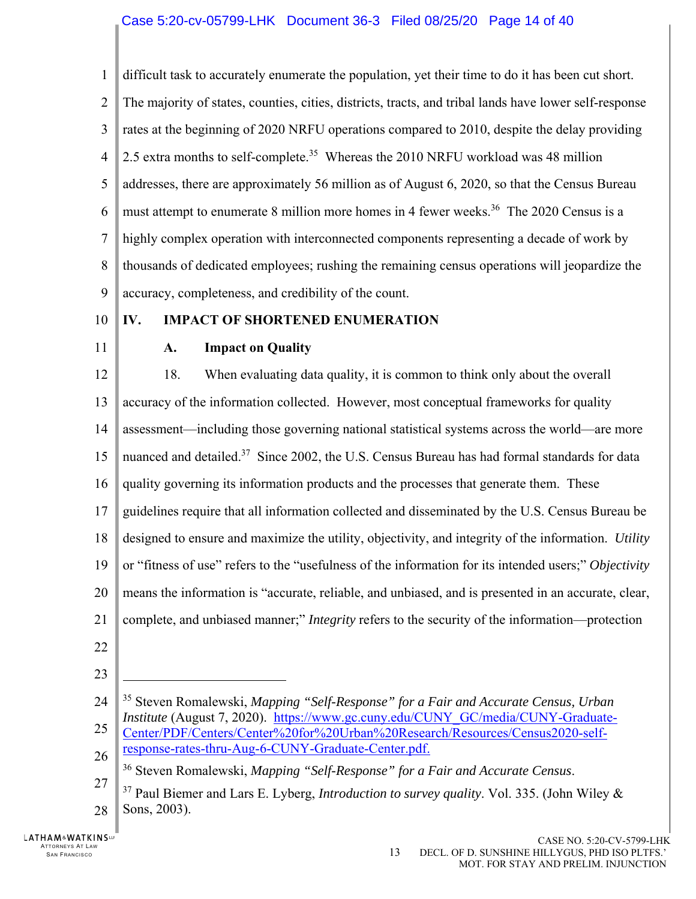1  $\mathfrak{D}$ 3 4 5 6 7 8 9 difficult task to accurately enumerate the population, yet their time to do it has been cut short. The majority of states, counties, cities, districts, tracts, and tribal lands have lower self-response rates at the beginning of 2020 NRFU operations compared to 2010, despite the delay providing 2.5 extra months to self-complete.<sup>35</sup> Whereas the 2010 NRFU workload was 48 million addresses, there are approximately 56 million as of August 6, 2020, so that the Census Bureau must attempt to enumerate 8 million more homes in 4 fewer weeks.<sup>36</sup> The 2020 Census is a highly complex operation with interconnected components representing a decade of work by thousands of dedicated employees; rushing the remaining census operations will jeopardize the accuracy, completeness, and credibility of the count.

- 10
- 11

## **A. Impact on Quality**

**IV. IMPACT OF SHORTENED ENUMERATION** 

12 13 14 15 16 17 18 19 20 21 18. When evaluating data quality, it is common to think only about the overall accuracy of the information collected. However, most conceptual frameworks for quality assessment—including those governing national statistical systems across the world—are more nuanced and detailed.<sup>37</sup> Since 2002, the U.S. Census Bureau has had formal standards for data quality governing its information products and the processes that generate them. These guidelines require that all information collected and disseminated by the U.S. Census Bureau be designed to ensure and maximize the utility, objectivity, and integrity of the information. *Utility* or "fitness of use" refers to the "usefulness of the information for its intended users;" *Objectivity* means the information is "accurate, reliable, and unbiased, and is presented in an accurate, clear, complete, and unbiased manner;" *Integrity* refers to the security of the information—protection

- 22
- 23

 $\overline{a}$ 

<sup>24</sup> 25 26 35 Steven Romalewski, *Mapping "Self-Response" for a Fair and Accurate Census, Urban Institute* (August 7, 2020). https://www.gc.cuny.edu/CUNY\_GC/media/CUNY-Graduate-Center/PDF/Centers/Center%20for%20Urban%20Research/Resources/Census2020-selfresponse-rates-thru-Aug-6-CUNY-Graduate-Center.pdf.

<sup>36</sup> Steven Romalewski, *Mapping "Self-Response" for a Fair and Accurate Census*.

<sup>27</sup> 28 37 Paul Biemer and Lars E. Lyberg, *Introduction to survey quality*. Vol. 335. (John Wiley & Sons, 2003).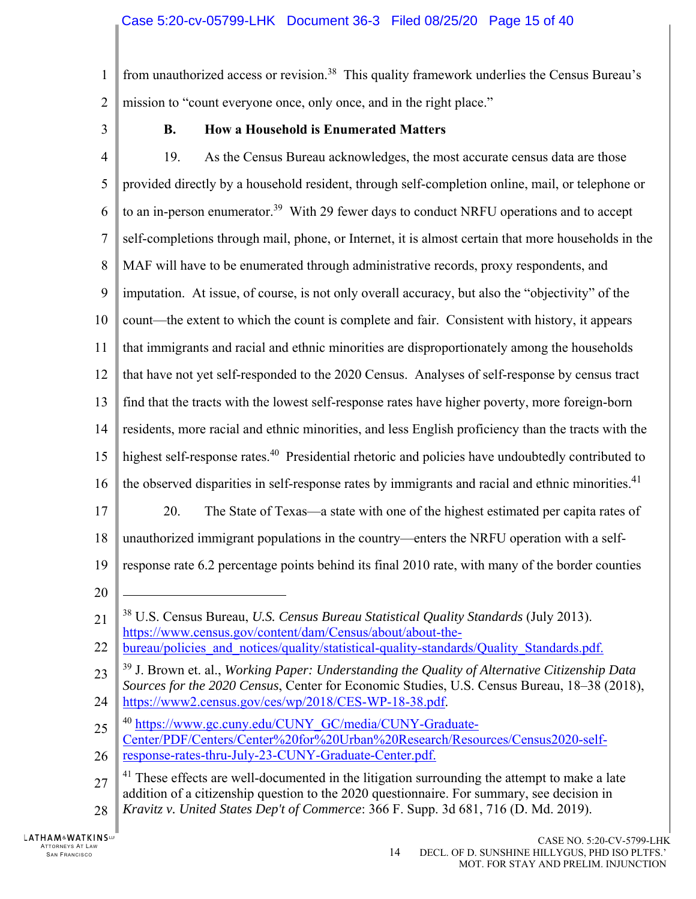1  $\overline{2}$ from unauthorized access or revision.<sup>38</sup> This quality framework underlies the Census Bureau's mission to "count everyone once, only once, and in the right place."

3

## **B. How a Household is Enumerated Matters**

4 5 6 7 8 9 10 11 12 13 14 15 16 17 18 19 20 21 22 23 24 25 19. As the Census Bureau acknowledges, the most accurate census data are those provided directly by a household resident, through self-completion online, mail, or telephone or to an in-person enumerator.<sup>39</sup> With 29 fewer days to conduct NRFU operations and to accept self-completions through mail, phone, or Internet, it is almost certain that more households in the MAF will have to be enumerated through administrative records, proxy respondents, and imputation. At issue, of course, is not only overall accuracy, but also the "objectivity" of the count—the extent to which the count is complete and fair. Consistent with history, it appears that immigrants and racial and ethnic minorities are disproportionately among the households that have not yet self-responded to the 2020 Census. Analyses of self-response by census tract find that the tracts with the lowest self-response rates have higher poverty, more foreign-born residents, more racial and ethnic minorities, and less English proficiency than the tracts with the highest self-response rates.<sup>40</sup> Presidential rhetoric and policies have undoubtedly contributed to the observed disparities in self-response rates by immigrants and racial and ethnic minorities.<sup>41</sup> 20. The State of Texas—a state with one of the highest estimated per capita rates of unauthorized immigrant populations in the country—enters the NRFU operation with a selfresponse rate 6.2 percentage points behind its final 2010 rate, with many of the border counties 1 38 U.S. Census Bureau, *U.S. Census Bureau Statistical Quality Standards* (July 2013). https://www.census.gov/content/dam/Census/about/about-thebureau/policies\_and\_notices/quality/statistical-quality-standards/Quality\_Standards.pdf. 39 J. Brown et. al., *Working Paper: Understanding the Quality of Alternative Citizenship Data Sources for the 2020 Census*, Center for Economic Studies, U.S. Census Bureau, 18–38 (2018), https://www2.census.gov/ces/wp/2018/CES-WP-18-38.pdf. <sup>40</sup> https://www.gc.cuny.edu/CUNY\_GC/media/CUNY-Graduate-Center/PDF/Centers/Center%20for%20Urban%20Research/Resources/Census2020-self-

<sup>26</sup> response-rates-thru-July-23-CUNY-Graduate-Center.pdf.

<sup>27</sup> 28  $41$  These effects are well-documented in the litigation surrounding the attempt to make a late addition of a citizenship question to the 2020 questionnaire. For summary, see decision in *Kravitz v. United States Dep't of Commerce*: 366 F. Supp. 3d 681, 716 (D. Md. 2019).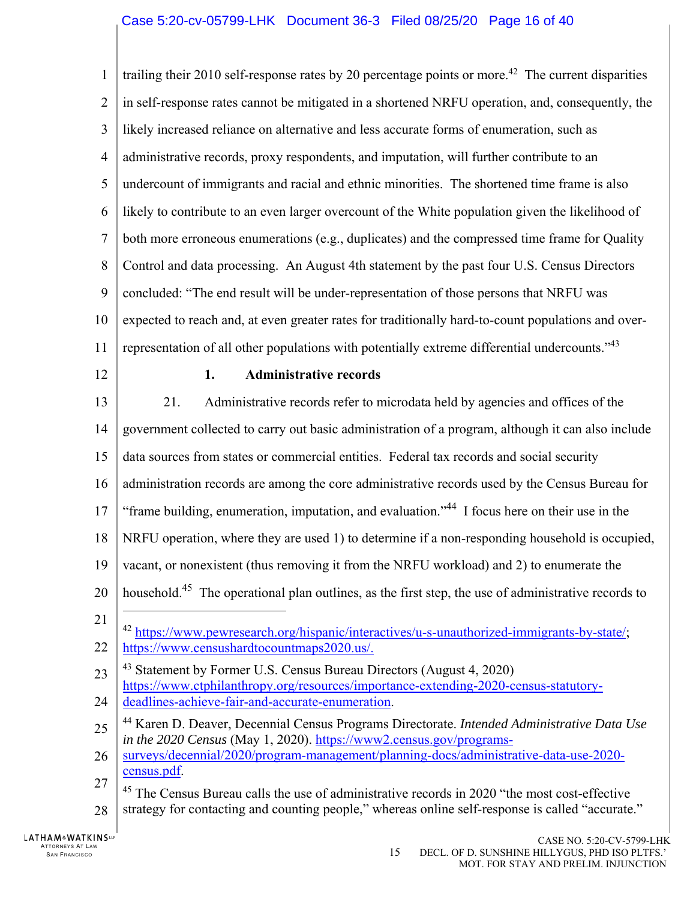1  $\mathfrak{D}$ 3 4 5 6 7 8 9 10 11 12 13 14 15 16 17 18 19 20 21 22 23 24 25 26 27 28 trailing their 2010 self-response rates by 20 percentage points or more.<sup>42</sup> The current disparities in self-response rates cannot be mitigated in a shortened NRFU operation, and, consequently, the likely increased reliance on alternative and less accurate forms of enumeration, such as administrative records, proxy respondents, and imputation, will further contribute to an undercount of immigrants and racial and ethnic minorities. The shortened time frame is also likely to contribute to an even larger overcount of the White population given the likelihood of both more erroneous enumerations (e.g., duplicates) and the compressed time frame for Quality Control and data processing. An August 4th statement by the past four U.S. Census Directors concluded: "The end result will be under-representation of those persons that NRFU was expected to reach and, at even greater rates for traditionally hard-to-count populations and overrepresentation of all other populations with potentially extreme differential undercounts." $4<sup>3</sup>$ **1. Administrative records**  21. Administrative records refer to microdata held by agencies and offices of the government collected to carry out basic administration of a program, although it can also include data sources from states or commercial entities. Federal tax records and social security administration records are among the core administrative records used by the Census Bureau for "frame building, enumeration, imputation, and evaluation."44 I focus here on their use in the NRFU operation, where they are used 1) to determine if a non-responding household is occupied, vacant, or nonexistent (thus removing it from the NRFU workload) and 2) to enumerate the household.<sup>45</sup> The operational plan outlines, as the first step, the use of administrative records to  $\overline{a}$ <sup>42</sup> https://www.pewresearch.org/hispanic/interactives/u-s-unauthorized-immigrants-by-state/; https://www.censushardtocountmaps2020.us/.  $43$  Statement by Former U.S. Census Bureau Directors (August 4, 2020) https://www.ctphilanthropy.org/resources/importance-extending-2020-census-statutorydeadlines-achieve-fair-and-accurate-enumeration. 44 Karen D. Deaver, Decennial Census Programs Directorate. *Intended Administrative Data Use in the 2020 Census* (May 1, 2020). https://www2.census.gov/programssurveys/decennial/2020/program-management/planning-docs/administrative-data-use-2020 census.pdf.  $45$  The Census Bureau calls the use of administrative records in 2020 "the most cost-effective strategy for contacting and counting people," whereas online self-response is called "accurate."

**LATHAM&WATKINSLP** ATTORNEYS AT LAW TTORNEYS AT LAW  $15$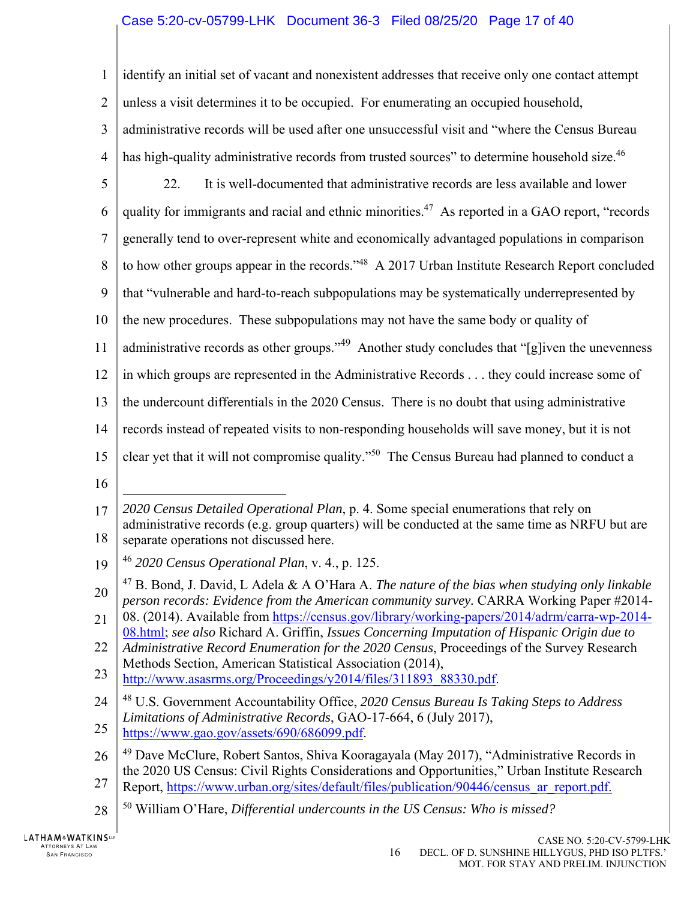## Case 5:20-cv-05799-LHK Document 36-3 Filed 08/25/20 Page 17 of 40

1  $\mathfrak{D}$ 3 4 5 6 7 8 9 10 11 12 13 14 15 16 17 18 19 20 21 identify an initial set of vacant and nonexistent addresses that receive only one contact attempt unless a visit determines it to be occupied. For enumerating an occupied household, administrative records will be used after one unsuccessful visit and "where the Census Bureau has high-quality administrative records from trusted sources" to determine household size.<sup>46</sup> 22. It is well-documented that administrative records are less available and lower quality for immigrants and racial and ethnic minorities.<sup>47</sup> As reported in a GAO report, "records generally tend to over-represent white and economically advantaged populations in comparison to how other groups appear in the records."<sup>48</sup> A 2017 Urban Institute Research Report concluded that "vulnerable and hard-to-reach subpopulations may be systematically underrepresented by the new procedures. These subpopulations may not have the same body or quality of administrative records as other groups."<sup>49</sup> Another study concludes that "[g]iven the unevenness in which groups are represented in the Administrative Records . . . they could increase some of the undercount differentials in the 2020 Census. There is no doubt that using administrative records instead of repeated visits to non-responding households will save money, but it is not clear yet that it will not compromise quality."50 The Census Bureau had planned to conduct a  $\overline{a}$ *2020 Census Detailed Operational Plan*, p. 4. Some special enumerations that rely on administrative records (e.g. group quarters) will be conducted at the same time as NRFU but are separate operations not discussed here. <sup>46</sup> *2020 Census Operational Plan*, v. 4., p. 125. 47 B. Bond, J. David, L Adela & A O'Hara A. *The nature of the bias when studying only linkable person records: Evidence from the American community survey.* CARRA Working Paper #2014- 08. (2014). Available from https://census.gov/library/working-papers/2014/adrm/carra-wp-2014- 08.html; *see also* Richard A. Griffin, *Issues Concerning Imputation of Hispanic Origin due to* 

22 23 *Administrative Record Enumeration for the 2020 Census*, Proceedings of the Survey Research Methods Section, American Statistical Association (2014),

- http://www.asasrms.org/Proceedings/y2014/files/311893\_88330.pdf.
- 24 48 U.S. Government Accountability Office, *2020 Census Bureau Is Taking Steps to Address Limitations of Administrative Records*, GAO-17-664, 6 (July 2017),
- 25 https://www.gao.gov/assets/690/686099.pdf.

<sup>26</sup> 27 <sup>49</sup> Dave McClure, Robert Santos, Shiva Kooragayala (May 2017), "Administrative Records in the 2020 US Census: Civil Rights Considerations and Opportunities," Urban Institute Research Report, https://www.urban.org/sites/default/files/publication/90446/census\_ar\_report.pdf.

<sup>28</sup> 50 William O'Hare, *Differential undercounts in the US Census: Who is missed?*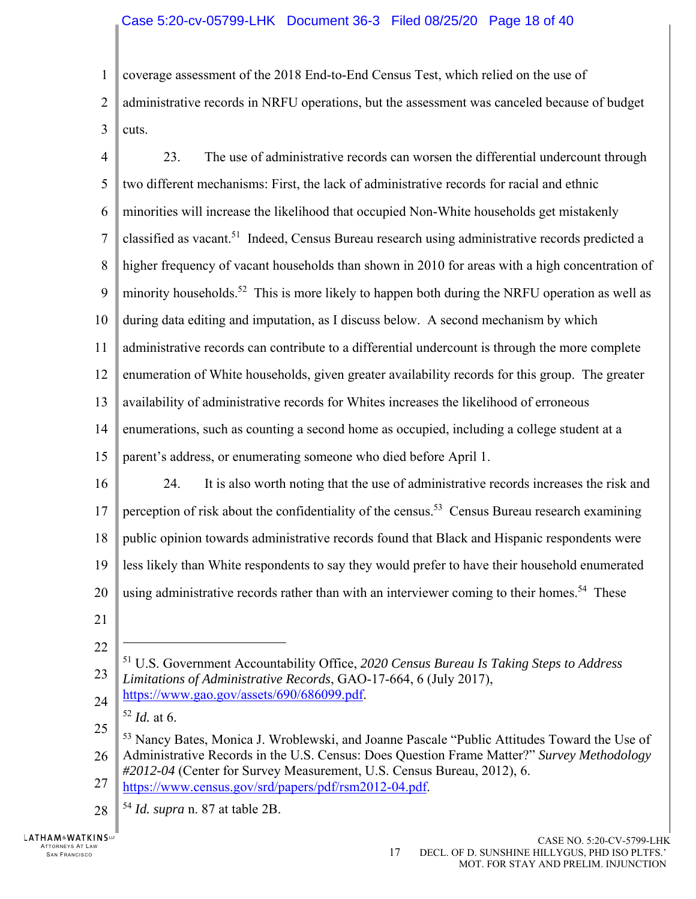### Case 5:20-cv-05799-LHK Document 36-3 Filed 08/25/20 Page 18 of 40

1 coverage assessment of the 2018 End-to-End Census Test, which relied on the use of

 $\mathfrak{D}$ 3 administrative records in NRFU operations, but the assessment was canceled because of budget cuts.

4 5 6 7 8 9 10 11 12 13 14 15 16 17 18 19 20 21 22 23 24 25 26 27 28 23. The use of administrative records can worsen the differential undercount through two different mechanisms: First, the lack of administrative records for racial and ethnic minorities will increase the likelihood that occupied Non-White households get mistakenly classified as vacant.<sup>51</sup> Indeed, Census Bureau research using administrative records predicted a higher frequency of vacant households than shown in 2010 for areas with a high concentration of minority households.<sup>52</sup> This is more likely to happen both during the NRFU operation as well as during data editing and imputation, as I discuss below. A second mechanism by which administrative records can contribute to a differential undercount is through the more complete enumeration of White households, given greater availability records for this group. The greater availability of administrative records for Whites increases the likelihood of erroneous enumerations, such as counting a second home as occupied, including a college student at a parent's address, or enumerating someone who died before April 1. 24. It is also worth noting that the use of administrative records increases the risk and perception of risk about the confidentiality of the census.<sup>53</sup> Census Bureau research examining public opinion towards administrative records found that Black and Hispanic respondents were less likely than White respondents to say they would prefer to have their household enumerated using administrative records rather than with an interviewer coming to their homes.<sup>54</sup> These 1 51 U.S. Government Accountability Office, *2020 Census Bureau Is Taking Steps to Address Limitations of Administrative Records*, GAO-17-664, 6 (July 2017), https://www.gao.gov/assets/690/686099.pdf. <sup>52</sup> *Id.* at 6. 53 Nancy Bates, Monica J. Wroblewski, and Joanne Pascale "Public Attitudes Toward the Use of Administrative Records in the U.S. Census: Does Question Frame Matter?" *Survey Methodology #2012-04* (Center for Survey Measurement, U.S. Census Bureau, 2012), 6. https://www.census.gov/srd/papers/pdf/rsm2012-04.pdf. <sup>54</sup> *Id. supra* n. 87 at table 2B.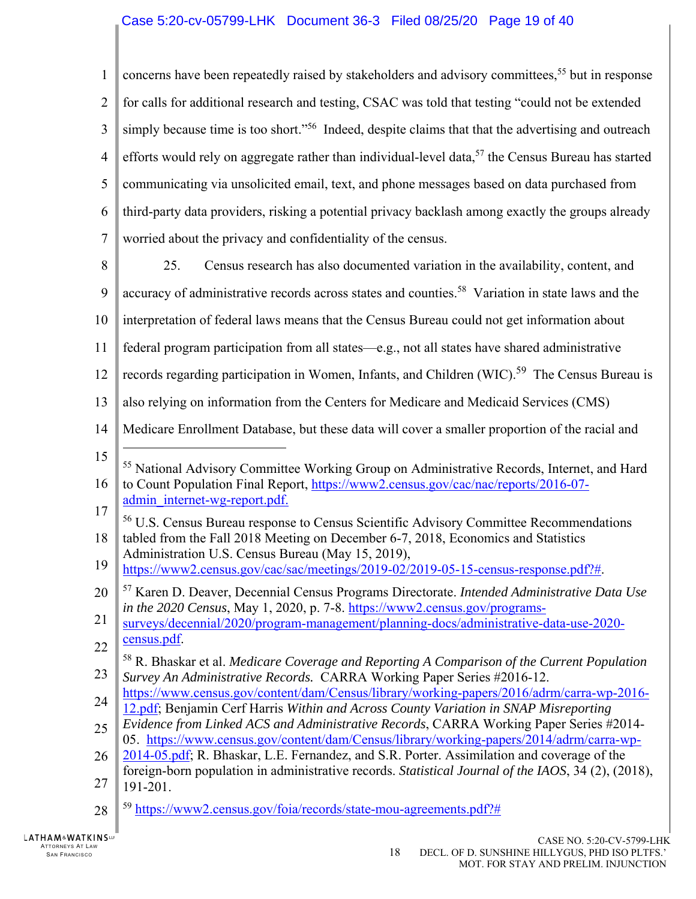## Case 5:20-cv-05799-LHK Document 36-3 Filed 08/25/20 Page 19 of 40

1  $\overline{2}$ 3 4 5 6 7 8 9 10 11 12 13 14 15 16 17 18 19 20 21 22 23 24 25 26 27 concerns have been repeatedly raised by stakeholders and advisory committees,<sup>55</sup> but in response for calls for additional research and testing, CSAC was told that testing "could not be extended simply because time is too short."<sup>56</sup> Indeed, despite claims that that the advertising and outreach efforts would rely on aggregate rather than individual-level data,  $57$  the Census Bureau has started communicating via unsolicited email, text, and phone messages based on data purchased from third-party data providers, risking a potential privacy backlash among exactly the groups already worried about the privacy and confidentiality of the census. 25. Census research has also documented variation in the availability, content, and accuracy of administrative records across states and counties.<sup>58</sup> Variation in state laws and the interpretation of federal laws means that the Census Bureau could not get information about federal program participation from all states—e.g., not all states have shared administrative records regarding participation in Women, Infants, and Children (WIC).<sup>59</sup> The Census Bureau is also relying on information from the Centers for Medicare and Medicaid Services (CMS) Medicare Enrollment Database, but these data will cover a smaller proportion of the racial and  $\overline{a}$ <sup>55</sup> National Advisory Committee Working Group on Administrative Records, Internet, and Hard to Count Population Final Report, https://www2.census.gov/cac/nac/reports/2016-07 admin\_internet-wg-report.pdf. 56 U.S. Census Bureau response to Census Scientific Advisory Committee Recommendations tabled from the Fall 2018 Meeting on December 6-7, 2018, Economics and Statistics Administration U.S. Census Bureau (May 15, 2019), https://www2.census.gov/cac/sac/meetings/2019-02/2019-05-15-census-response.pdf?#. 57 Karen D. Deaver, Decennial Census Programs Directorate. *Intended Administrative Data Use in the 2020 Census*, May 1, 2020, p. 7-8. https://www2.census.gov/programssurveys/decennial/2020/program-management/planning-docs/administrative-data-use-2020 census.pdf. 58 R. Bhaskar et al. *Medicare Coverage and Reporting A Comparison of the Current Population Survey An Administrative Records.* CARRA Working Paper Series #2016-12. https://www.census.gov/content/dam/Census/library/working-papers/2016/adrm/carra-wp-2016- 12.pdf; Benjamin Cerf Harris *Within and Across County Variation in SNAP Misreporting Evidence from Linked ACS and Administrative Records*, CARRA Working Paper Series #2014- 05. https://www.census.gov/content/dam/Census/library/working-papers/2014/adrm/carra-wp-2014-05.pdf; R. Bhaskar, L.E. Fernandez, and S.R. Porter. Assimilation and coverage of the foreign-born population in administrative records. *Statistical Journal of the IAOS*, 34 (2), (2018), 191-201.

<sup>28</sup> <sup>59</sup> https://www2.census.gov/foia/records/state-mou-agreements.pdf?#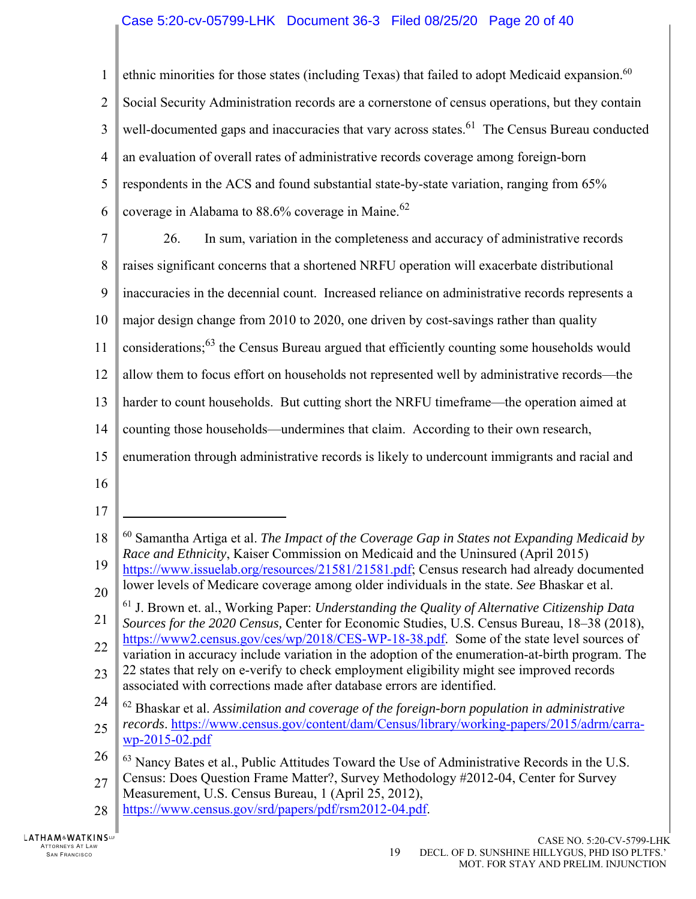### Case 5:20-cv-05799-LHK Document 36-3 Filed 08/25/20 Page 20 of 40

1  $\overline{2}$ 3 4 5 6 7 8 9 10 11 12 13 14 15 16 17 18 19 20 21 22 23 24 25 26 27 28 ethnic minorities for those states (including Texas) that failed to adopt Medicaid expansion.<sup>60</sup> Social Security Administration records are a cornerstone of census operations, but they contain well-documented gaps and inaccuracies that vary across states.<sup>61</sup> The Census Bureau conducted an evaluation of overall rates of administrative records coverage among foreign-born respondents in the ACS and found substantial state-by-state variation, ranging from 65% coverage in Alabama to  $88.6\%$  coverage in Maine.<sup>62</sup> 26. In sum, variation in the completeness and accuracy of administrative records raises significant concerns that a shortened NRFU operation will exacerbate distributional inaccuracies in the decennial count. Increased reliance on administrative records represents a major design change from 2010 to 2020, one driven by cost-savings rather than quality considerations;  $^{63}$  the Census Bureau argued that efficiently counting some households would allow them to focus effort on households not represented well by administrative records—the harder to count households. But cutting short the NRFU timeframe—the operation aimed at counting those households—undermines that claim. According to their own research, enumeration through administrative records is likely to undercount immigrants and racial and  $\overline{a}$ 60 Samantha Artiga et al. *The Impact of the Coverage Gap in States not Expanding Medicaid by Race and Ethnicity*, Kaiser Commission on Medicaid and the Uninsured (April 2015) https://www.issuelab.org/resources/21581/21581.pdf; Census research had already documented lower levels of Medicare coverage among older individuals in the state. *See* Bhaskar et al. 61 J. Brown et. al., Working Paper: *Understanding the Quality of Alternative Citizenship Data Sources for the 2020 Census,* Center for Economic Studies, U.S. Census Bureau, 18–38 (2018), https://www2.census.gov/ces/wp/2018/CES-WP-18-38.pdf. Some of the state level sources of variation in accuracy include variation in the adoption of the enumeration-at-birth program. The 22 states that rely on e-verify to check employment eligibility might see improved records associated with corrections made after database errors are identified. 62 Bhaskar et al. *Assimilation and coverage of the foreign-born population in administrative records*. https://www.census.gov/content/dam/Census/library/working-papers/2015/adrm/carrawp-2015-02.pdf  $63$  Nancy Bates et al., Public Attitudes Toward the Use of Administrative Records in the U.S. Census: Does Question Frame Matter?, Survey Methodology #2012-04, Center for Survey Measurement, U.S. Census Bureau, 1 (April 25, 2012), https://www.census.gov/srd/papers/pdf/rsm2012-04.pdf.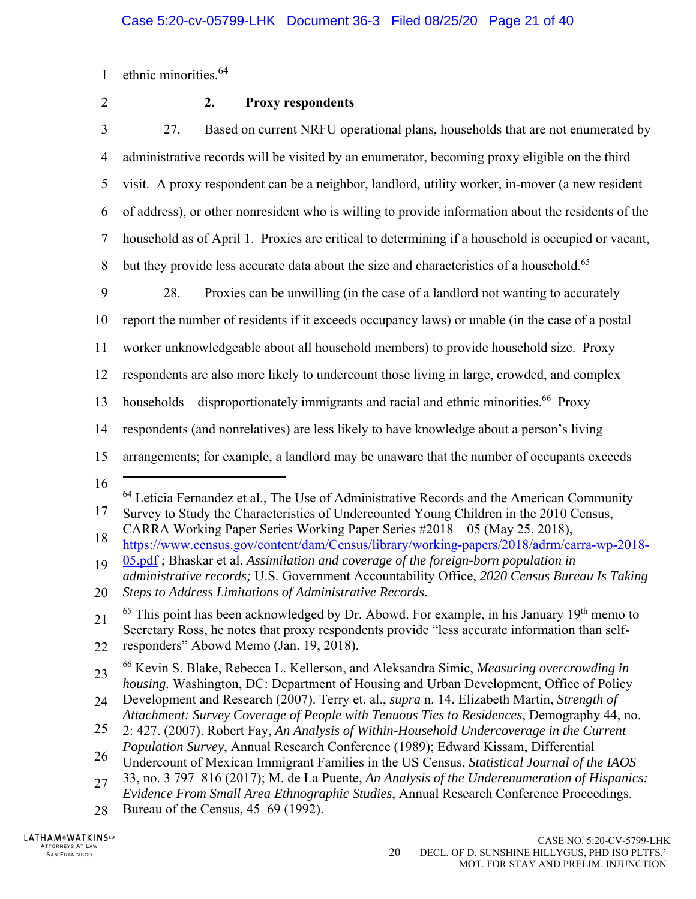1 ethnic minorities.<sup>64</sup>

2

# **2. Proxy respondents**

| 3              | Based on current NRFU operational plans, households that are not enumerated by<br>27.                                                                                                                                                                                                                                                                                     |
|----------------|---------------------------------------------------------------------------------------------------------------------------------------------------------------------------------------------------------------------------------------------------------------------------------------------------------------------------------------------------------------------------|
| $\overline{4}$ | administrative records will be visited by an enumerator, becoming proxy eligible on the third                                                                                                                                                                                                                                                                             |
| 5              | visit. A proxy respondent can be a neighbor, landlord, utility worker, in-mover (a new resident                                                                                                                                                                                                                                                                           |
| 6              | of address), or other nonresident who is willing to provide information about the residents of the                                                                                                                                                                                                                                                                        |
| $\overline{7}$ | household as of April 1. Proxies are critical to determining if a household is occupied or vacant,                                                                                                                                                                                                                                                                        |
| 8              | but they provide less accurate data about the size and characteristics of a household. <sup>65</sup>                                                                                                                                                                                                                                                                      |
| 9              | 28.<br>Proxies can be unwilling (in the case of a landlord not wanting to accurately                                                                                                                                                                                                                                                                                      |
| 10             | report the number of residents if it exceeds occupancy laws) or unable (in the case of a postal                                                                                                                                                                                                                                                                           |
| 11             | worker unknowledgeable about all household members) to provide household size. Proxy                                                                                                                                                                                                                                                                                      |
| 12             | respondents are also more likely to undercount those living in large, crowded, and complex                                                                                                                                                                                                                                                                                |
| 13             | households—disproportionately immigrants and racial and ethnic minorities. <sup>66</sup> Proxy                                                                                                                                                                                                                                                                            |
| 14             | respondents (and nonrelatives) are less likely to have knowledge about a person's living                                                                                                                                                                                                                                                                                  |
| 15             | arrangements; for example, a landlord may be unaware that the number of occupants exceeds                                                                                                                                                                                                                                                                                 |
| 16<br>17<br>18 | <sup>64</sup> Leticia Fernandez et al., The Use of Administrative Records and the American Community<br>Survey to Study the Characteristics of Undercounted Young Children in the 2010 Census,<br>CARRA Working Paper Series Working Paper Series #2018 - 05 (May 25, 2018),<br>https://www.census.gov/content/dam/Census/library/working-papers/2018/adrm/carra-wp-2018- |
| 19<br>20       | 05.pdf; Bhaskar et al. Assimilation and coverage of the foreign-born population in<br>administrative records; U.S. Government Accountability Office, 2020 Census Bureau Is Taking<br>Steps to Address Limitations of Administrative Records.                                                                                                                              |
| 21             |                                                                                                                                                                                                                                                                                                                                                                           |
|                | $65$ This point has been acknowledged by Dr. Abowd. For example, in his January $19th$ memo to<br>Secretary Ross, he notes that proxy respondents provide "less accurate information than self-                                                                                                                                                                           |
| 22<br>23       | responders" Abowd Memo (Jan. 19, 2018).<br><sup>66</sup> Kevin S. Blake, Rebecca L. Kellerson, and Aleksandra Simic, Measuring overcrowding in                                                                                                                                                                                                                            |
| 24             | housing. Washington, DC: Department of Housing and Urban Development, Office of Policy<br>Development and Research (2007). Terry et. al., supra n. 14. Elizabeth Martin, Strength of<br>Attachment: Survey Coverage of People with Tenuous Ties to Residences, Demography 44, no.                                                                                         |
| 25             | 2: 427. (2007). Robert Fay, An Analysis of Within-Household Undercoverage in the Current                                                                                                                                                                                                                                                                                  |
| 26             | Population Survey, Annual Research Conference (1989); Edward Kissam, Differential<br>Undercount of Mexican Immigrant Families in the US Census, Statistical Journal of the IAOS                                                                                                                                                                                           |
| 27<br>28       | 33, no. 3 797-816 (2017); M. de La Puente, An Analysis of the Underenumeration of Hispanics:<br>Evidence From Small Area Ethnographic Studies, Annual Research Conference Proceedings.<br>Bureau of the Census, 45–69 (1992).                                                                                                                                             |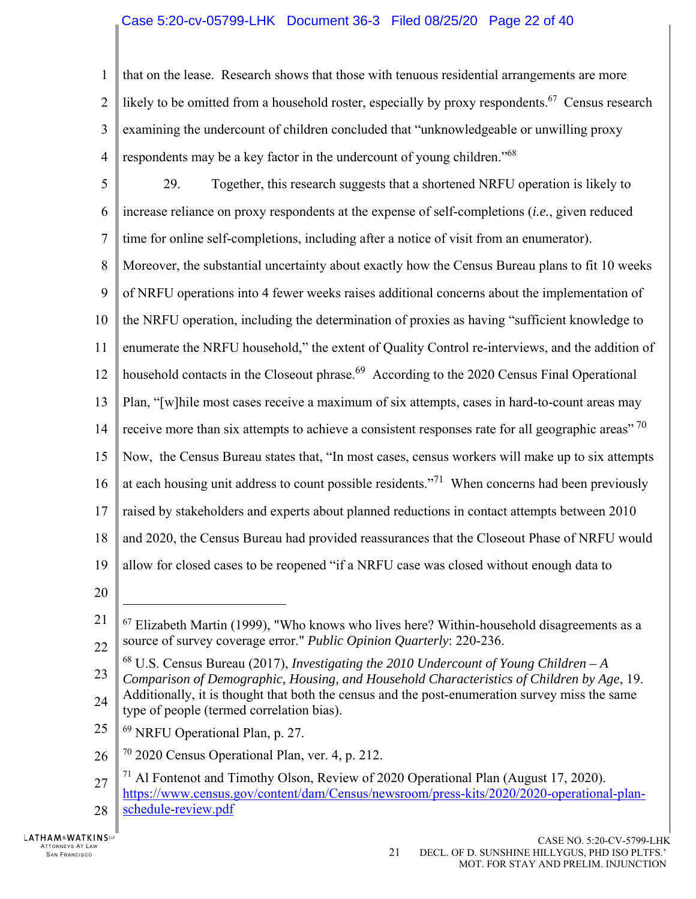### Case 5:20-cv-05799-LHK Document 36-3 Filed 08/25/20 Page 22 of 40

1  $\mathfrak{D}$ 3 4 that on the lease. Research shows that those with tenuous residential arrangements are more likely to be omitted from a household roster, especially by proxy respondents.<sup>67</sup> Census research examining the undercount of children concluded that "unknowledgeable or unwilling proxy respondents may be a key factor in the undercount of young children."<sup>68</sup>

- 5 6 7 8 9 10 11 12 13 14 15 16 17 18 19 20 29. Together, this research suggests that a shortened NRFU operation is likely to increase reliance on proxy respondents at the expense of self-completions (*i.e.*, given reduced time for online self-completions, including after a notice of visit from an enumerator). Moreover, the substantial uncertainty about exactly how the Census Bureau plans to fit 10 weeks of NRFU operations into 4 fewer weeks raises additional concerns about the implementation of the NRFU operation, including the determination of proxies as having "sufficient knowledge to enumerate the NRFU household," the extent of Quality Control re-interviews, and the addition of household contacts in the Closeout phrase.<sup>69</sup> According to the 2020 Census Final Operational Plan, "[w]hile most cases receive a maximum of six attempts, cases in hard-to-count areas may receive more than six attempts to achieve a consistent responses rate for all geographic areas"  $70$ Now, the Census Bureau states that, "In most cases, census workers will make up to six attempts at each housing unit address to count possible residents."<sup>71</sup> When concerns had been previously raised by stakeholders and experts about planned reductions in contact attempts between 2010 and 2020, the Census Bureau had provided reassurances that the Closeout Phase of NRFU would allow for closed cases to be reopened "if a NRFU case was closed without enough data to
- 

 $\overline{a}$ 

- 25 69 NRFU Operational Plan, p. 27.
- 26  $70$  2020 Census Operational Plan, ver. 4, p. 212.
- 27 28  $^{71}$  Al Fontenot and Timothy Olson, Review of 2020 Operational Plan (August 17, 2020). https://www.census.gov/content/dam/Census/newsroom/press-kits/2020/2020-operational-planschedule-review.pdf

<sup>21</sup> 22  $67$  Elizabeth Martin (1999), "Who knows who lives here? Within-household disagreements as a source of survey coverage error." *Public Opinion Quarterly*: 220-236.

<sup>23</sup> 68 U.S. Census Bureau (2017), *Investigating the 2010 Undercount of Young Children – A Comparison of Demographic, Housing, and Household Characteristics of Children by Age*, 19.

<sup>24</sup> Additionally, it is thought that both the census and the post-enumeration survey miss the same type of people (termed correlation bias).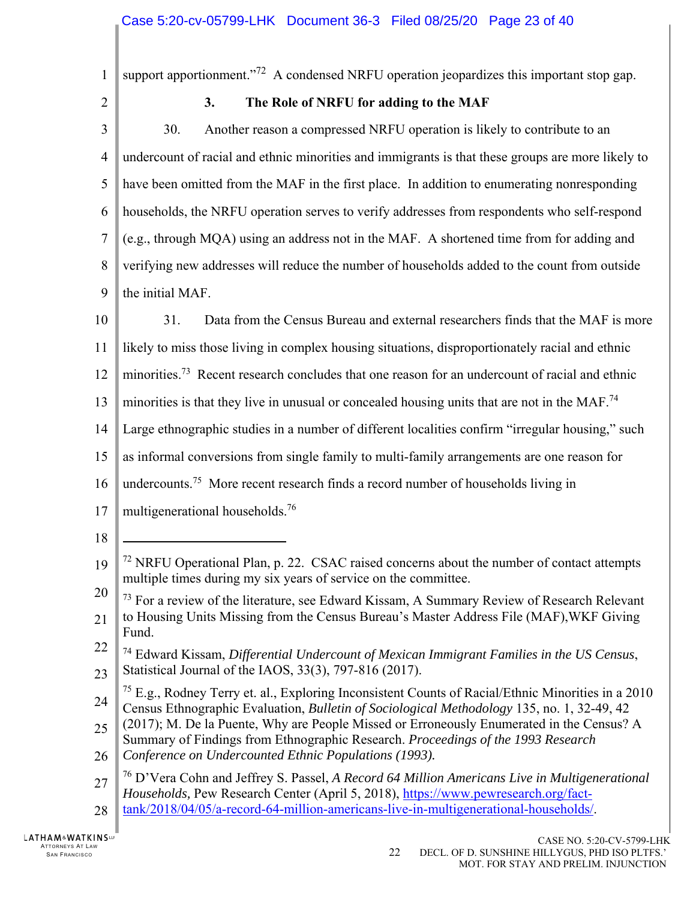| $\mathbf{1}$   | support apportionment." <sup>72</sup> A condensed NRFU operation jeopardizes this important stop gap.                                                                                          |
|----------------|------------------------------------------------------------------------------------------------------------------------------------------------------------------------------------------------|
| $\overline{2}$ | 3.<br>The Role of NRFU for adding to the MAF                                                                                                                                                   |
| 3              | 30.<br>Another reason a compressed NRFU operation is likely to contribute to an                                                                                                                |
| 4              | undercount of racial and ethnic minorities and immigrants is that these groups are more likely to                                                                                              |
| 5              | have been omitted from the MAF in the first place. In addition to enumerating nonresponding                                                                                                    |
| 6              | households, the NRFU operation serves to verify addresses from respondents who self-respond                                                                                                    |
| $\tau$         | (e.g., through MQA) using an address not in the MAF. A shortened time from for adding and                                                                                                      |
| 8              | verifying new addresses will reduce the number of households added to the count from outside                                                                                                   |
| 9              | the initial MAF.                                                                                                                                                                               |
| 10             | 31.<br>Data from the Census Bureau and external researchers finds that the MAF is more                                                                                                         |
| 11             | likely to miss those living in complex housing situations, disproportionately racial and ethnic                                                                                                |
| 12             | minorities. <sup>73</sup> Recent research concludes that one reason for an undercount of racial and ethnic                                                                                     |
| 13             | minorities is that they live in unusual or concealed housing units that are not in the MAF. <sup>74</sup>                                                                                      |
| 14             | Large ethnographic studies in a number of different localities confirm "irregular housing," such                                                                                               |
| 15             | as informal conversions from single family to multi-family arrangements are one reason for                                                                                                     |
| 16             | undercounts. <sup>75</sup> More recent research finds a record number of households living in                                                                                                  |
| 17             | multigenerational households. <sup>76</sup>                                                                                                                                                    |
| 18             |                                                                                                                                                                                                |
| 19             | <sup>72</sup> NRFU Operational Plan, p. 22. CSAC raised concerns about the number of contact attempts<br>multiple times during my six years of service on the committee.                       |
| 20             | 73 For a review of the literature, see Edward Kissam, A Summary Review of Research Relevant                                                                                                    |
| 21             | to Housing Units Missing from the Census Bureau's Master Address File (MAF), WKF Giving<br>Fund.                                                                                               |
| 22             | <sup>74</sup> Edward Kissam, Differential Undercount of Mexican Immigrant Families in the US Census,                                                                                           |
| 23             | Statistical Journal of the IAOS, 33(3), 797-816 (2017).<br><sup>75</sup> E.g., Rodney Terry et. al., Exploring Inconsistent Counts of Racial/Ethnic Minorities in a 2010                       |
| 24             | Census Ethnographic Evaluation, Bulletin of Sociological Methodology 135, no. 1, 32-49, 42                                                                                                     |
| 25             | (2017); M. De la Puente, Why are People Missed or Erroneously Enumerated in the Census? A<br>Summary of Findings from Ethnographic Research. Proceedings of the 1993 Research                  |
| 26             | Conference on Undercounted Ethnic Populations (1993).                                                                                                                                          |
| 27             | <sup>76</sup> D'Vera Cohn and Jeffrey S. Passel, A Record 64 Million Americans Live in Multigenerational<br>Households, Pew Research Center (April 5, 2018), https://www.pewresearch.org/fact- |
| 28             | tank/2018/04/05/a-record-64-million-americans-live-in-multigenerational-households/.                                                                                                           |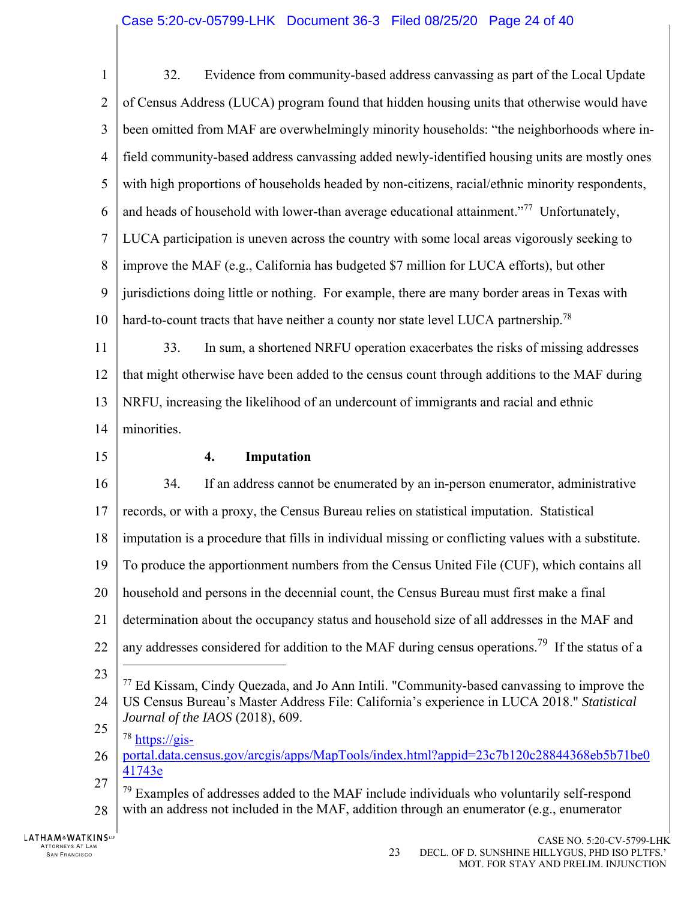| $\mathbf{1}$   | Evidence from community-based address canvassing as part of the Local Update<br>32.                             |
|----------------|-----------------------------------------------------------------------------------------------------------------|
| $\overline{2}$ | of Census Address (LUCA) program found that hidden housing units that otherwise would have                      |
| 3              | been omitted from MAF are overwhelmingly minority households: "the neighborhoods where in-                      |
| $\overline{4}$ | field community-based address canvassing added newly-identified housing units are mostly ones                   |
| 5              | with high proportions of households headed by non-citizens, racial/ethnic minority respondents,                 |
| 6              | and heads of household with lower-than average educational attainment." <sup>77</sup> Unfortunately,            |
| 7              | LUCA participation is uneven across the country with some local areas vigorously seeking to                     |
| 8              | improve the MAF (e.g., California has budgeted \$7 million for LUCA efforts), but other                         |
| 9              | jurisdictions doing little or nothing. For example, there are many border areas in Texas with                   |
| 10             | hard-to-count tracts that have neither a county nor state level LUCA partnership. <sup>78</sup>                 |
| 11             | In sum, a shortened NRFU operation exacerbates the risks of missing addresses<br>33.                            |
| 12             | that might otherwise have been added to the census count through additions to the MAF during                    |
| 13             | NRFU, increasing the likelihood of an undercount of immigrants and racial and ethnic                            |
| 14             | minorities.                                                                                                     |
| 15             | Imputation<br>4.                                                                                                |
| 16             | If an address cannot be enumerated by an in-person enumerator, administrative<br>34.                            |
| 17             | records, or with a proxy, the Census Bureau relies on statistical imputation. Statistical                       |
| 18             | imputation is a procedure that fills in individual missing or conflicting values with a substitute.             |
| 19             | $\parallel$ To produce the apportionment numbers from the Census United File (CUF), which contains all          |
| 20             | household and persons in the decennial count, the Census Bureau must first make a final                         |
| 21             | determination about the occupancy status and household size of all addresses in the MAF and                     |
| 22             | any addresses considered for addition to the MAF during census operations. <sup>79</sup> If the status of a     |
| 23             | 77 Ed Kissam, Cindy Quezada, and Jo Ann Intili. "Community-based canvassing to improve the                      |
| 24             | US Census Bureau's Master Address File: California's experience in LUCA 2018." Statistical                      |
| 25             | Journal of the IAOS (2018), 609.<br>$78 \frac{\text{https://gis-}}{}$                                           |
| 26             | portal.data.census.gov/arcgis/apps/MapTools/index.html?appid=23c7b120c28844368eb5b71be0                         |
| 27             | 41743e<br><sup>79</sup> Examples of addresses added to the MAE include individuals who voluntarily self-respond |

28  $79$  Examples of addresses added to the MAF include individuals who voluntarily self-respond with an address not included in the MAF, addition through an enumerator (e.g., enumerator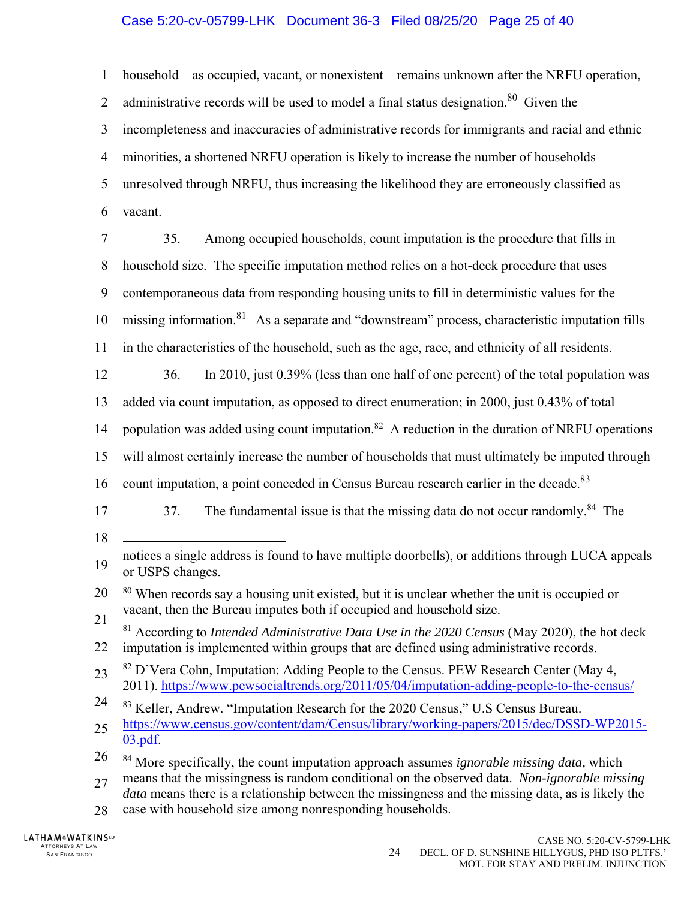## Case 5:20-cv-05799-LHK Document 36-3 Filed 08/25/20 Page 25 of 40

1  $\mathfrak{D}$ 3 4 5 6 7 8 9 10 11 12 13 14 15 16 17 18 19 20 21 22 23 24 25 26 27 28 household—as occupied, vacant, or nonexistent—remains unknown after the NRFU operation, administrative records will be used to model a final status designation.<sup>80</sup> Given the incompleteness and inaccuracies of administrative records for immigrants and racial and ethnic minorities, a shortened NRFU operation is likely to increase the number of households unresolved through NRFU, thus increasing the likelihood they are erroneously classified as vacant. 35. Among occupied households, count imputation is the procedure that fills in household size. The specific imputation method relies on a hot-deck procedure that uses contemporaneous data from responding housing units to fill in deterministic values for the missing information.<sup>81</sup> As a separate and "downstream" process, characteristic imputation fills in the characteristics of the household, such as the age, race, and ethnicity of all residents. 36. In 2010, just 0.39% (less than one half of one percent) of the total population was added via count imputation, as opposed to direct enumeration; in 2000, just 0.43% of total population was added using count imputation.<sup>82</sup> A reduction in the duration of NRFU operations will almost certainly increase the number of households that must ultimately be imputed through count imputation, a point conceded in Census Bureau research earlier in the decade. $83$ 37. The fundamental issue is that the missing data do not occur randomly.<sup>84</sup> The  $\overline{a}$ notices a single address is found to have multiple doorbells), or additions through LUCA appeals or USPS changes. <sup>80</sup> When records say a housing unit existed, but it is unclear whether the unit is occupied or vacant, then the Bureau imputes both if occupied and household size. <sup>81</sup> According to *Intended Administrative Data Use in the 2020 Census* (May 2020), the hot deck imputation is implemented within groups that are defined using administrative records.  $82$  D'Vera Cohn, Imputation: Adding People to the Census. PEW Research Center (May 4, 2011). https://www.pewsocialtrends.org/2011/05/04/imputation-adding-people-to-the-census/ 83 Keller, Andrew. "Imputation Research for the 2020 Census," U.S Census Bureau. https://www.census.gov/content/dam/Census/library/working-papers/2015/dec/DSSD-WP2015- 03.pdf. 84 More specifically, the count imputation approach assumes *ignorable missing data,* which means that the missingness is random conditional on the observed data. *Non-ignorable missing data* means there is a relationship between the missingness and the missing data, as is likely the case with household size among nonresponding households.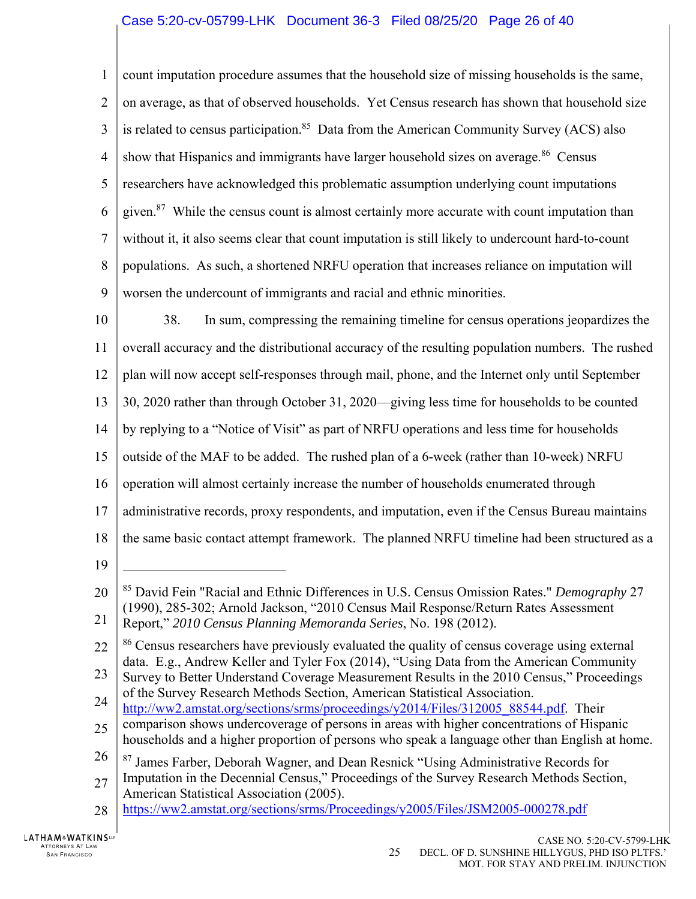## Case 5:20-cv-05799-LHK Document 36-3 Filed 08/25/20 Page 26 of 40

1  $\mathfrak{D}$ 3 4 5 6 7 8 9 10 11 12 13 14 15 16 17 18 19 20 21 22 23 count imputation procedure assumes that the household size of missing households is the same, on average, as that of observed households. Yet Census research has shown that household size is related to census participation.<sup>85</sup> Data from the American Community Survey (ACS) also show that Hispanics and immigrants have larger household sizes on average.<sup>86</sup> Census researchers have acknowledged this problematic assumption underlying count imputations given.<sup>87</sup> While the census count is almost certainly more accurate with count imputation than without it, it also seems clear that count imputation is still likely to undercount hard-to-count populations. As such, a shortened NRFU operation that increases reliance on imputation will worsen the undercount of immigrants and racial and ethnic minorities. 38. In sum, compressing the remaining timeline for census operations jeopardizes the overall accuracy and the distributional accuracy of the resulting population numbers. The rushed plan will now accept self-responses through mail, phone, and the Internet only until September 30, 2020 rather than through October 31, 2020—giving less time for households to be counted by replying to a "Notice of Visit" as part of NRFU operations and less time for households outside of the MAF to be added. The rushed plan of a 6-week (rather than 10-week) NRFU operation will almost certainly increase the number of households enumerated through administrative records, proxy respondents, and imputation, even if the Census Bureau maintains the same basic contact attempt framework. The planned NRFU timeline had been structured as a  $\overline{a}$ 85 David Fein "Racial and Ethnic Differences in U.S. Census Omission Rates." *Demography* 27 (1990), 285-302; Arnold Jackson, "2010 Census Mail Response/Return Rates Assessment Report," *2010 Census Planning Memoranda Series*, No. 198 (2012). <sup>86</sup> Census researchers have previously evaluated the quality of census coverage using external data. E.g., Andrew Keller and Tyler Fox (2014), "Using Data from the American Community

- 24 Survey to Better Understand Coverage Measurement Results in the 2010 Census," Proceedings of the Survey Research Methods Section, American Statistical Association.
- http://ww2.amstat.org/sections/srms/proceedings/y2014/Files/312005 88544.pdf. Their
- 25 comparison shows undercoverage of persons in areas with higher concentrations of Hispanic households and a higher proportion of persons who speak a language other than English at home.
- 26 <sup>87</sup> James Farber, Deborah Wagner, and Dean Resnick "Using Administrative Records for
- 27 Imputation in the Decennial Census," Proceedings of the Survey Research Methods Section, American Statistical Association (2005).
- 28 https://ww2.amstat.org/sections/srms/Proceedings/y2005/Files/JSM2005-000278.pdf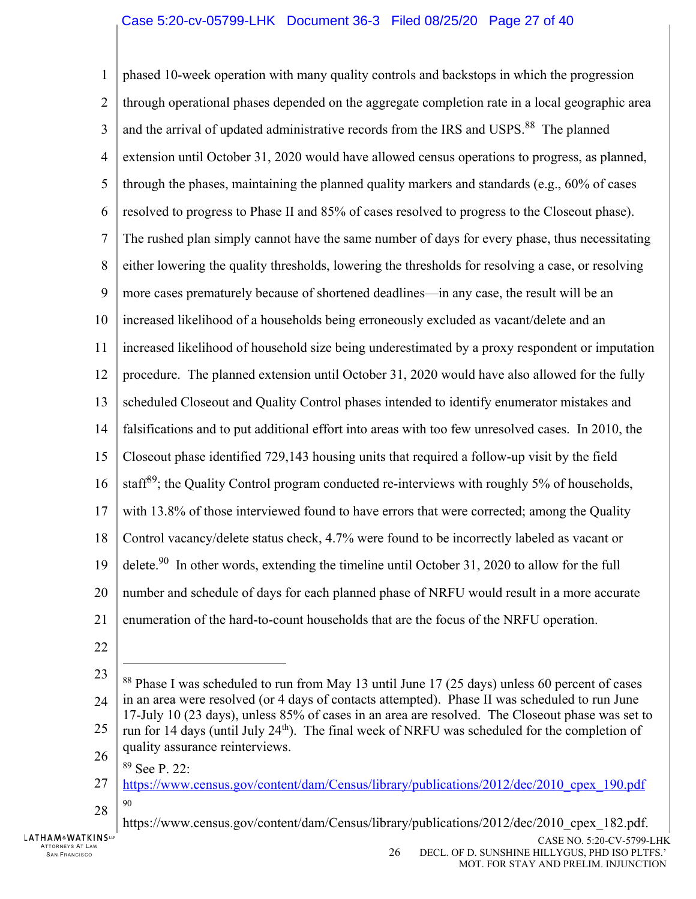1  $\mathfrak{D}$ 3 4 5 6 7 8 9 10 11 12 13 14 15 16 17 18 19 20 21 phased 10-week operation with many quality controls and backstops in which the progression through operational phases depended on the aggregate completion rate in a local geographic area and the arrival of updated administrative records from the IRS and USPS.<sup>88</sup> The planned extension until October 31, 2020 would have allowed census operations to progress, as planned, through the phases, maintaining the planned quality markers and standards (e.g., 60% of cases resolved to progress to Phase II and 85% of cases resolved to progress to the Closeout phase). The rushed plan simply cannot have the same number of days for every phase, thus necessitating either lowering the quality thresholds, lowering the thresholds for resolving a case, or resolving more cases prematurely because of shortened deadlines—in any case, the result will be an increased likelihood of a households being erroneously excluded as vacant/delete and an increased likelihood of household size being underestimated by a proxy respondent or imputation procedure. The planned extension until October 31, 2020 would have also allowed for the fully scheduled Closeout and Quality Control phases intended to identify enumerator mistakes and falsifications and to put additional effort into areas with too few unresolved cases. In 2010, the Closeout phase identified 729,143 housing units that required a follow-up visit by the field staff<sup>89</sup>; the Quality Control program conducted re-interviews with roughly 5% of households, with 13.8% of those interviewed found to have errors that were corrected; among the Quality Control vacancy/delete status check, 4.7% were found to be incorrectly labeled as vacant or delete.<sup>90</sup> In other words, extending the timeline until October 31, 2020 to allow for the full number and schedule of days for each planned phase of NRFU would result in a more accurate enumeration of the hard-to-count households that are the focus of the NRFU operation.

- 22
- 23

 $\overline{a}$ 

26 quality assurance reinterviews.

<sup>24</sup> 25 <sup>88</sup> Phase I was scheduled to run from May 13 until June 17 (25 days) unless 60 percent of cases in an area were resolved (or 4 days of contacts attempted). Phase II was scheduled to run June 17-July 10 (23 days), unless 85% of cases in an area are resolved. The Closeout phase was set to run for 14 days (until July  $24<sup>th</sup>$ ). The final week of NRFU was scheduled for the completion of

<sup>89</sup> See P. 22:

<sup>27</sup> 28 https://www.census.gov/content/dam/Census/library/publications/2012/dec/2010\_cpex\_190.pdf 90

https://www.census.gov/content/dam/Census/library/publications/2012/dec/2010\_cpex\_182.pdf.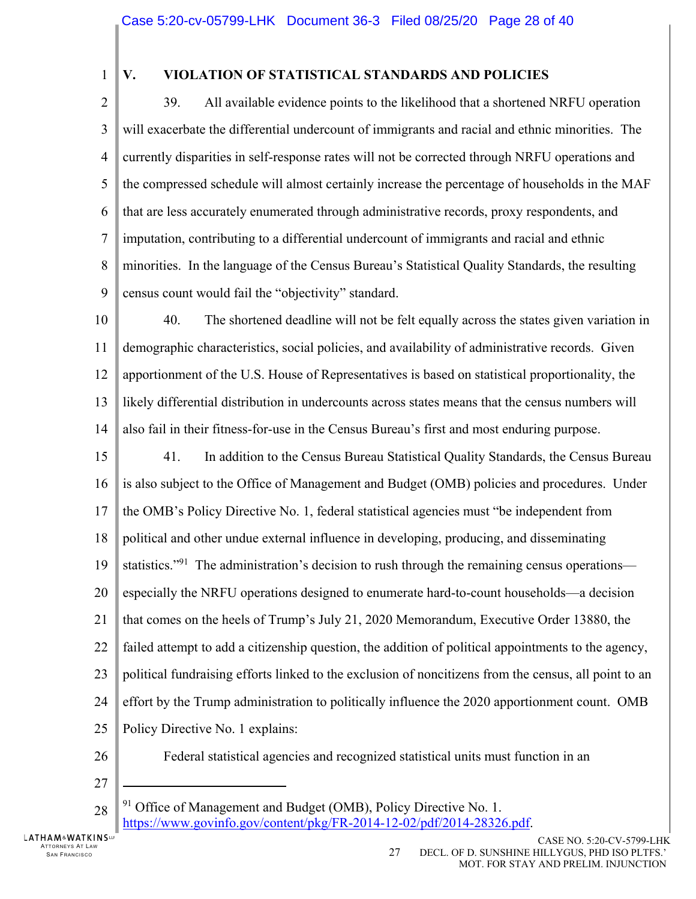1

# **V. VIOLATION OF STATISTICAL STANDARDS AND POLICIES**

 $\overline{2}$ 3 4 5 6 7 8 9 39. All available evidence points to the likelihood that a shortened NRFU operation will exacerbate the differential undercount of immigrants and racial and ethnic minorities. The currently disparities in self-response rates will not be corrected through NRFU operations and the compressed schedule will almost certainly increase the percentage of households in the MAF that are less accurately enumerated through administrative records, proxy respondents, and imputation, contributing to a differential undercount of immigrants and racial and ethnic minorities. In the language of the Census Bureau's Statistical Quality Standards, the resulting census count would fail the "objectivity" standard.

10 11 12 13 14 40. The shortened deadline will not be felt equally across the states given variation in demographic characteristics, social policies, and availability of administrative records. Given apportionment of the U.S. House of Representatives is based on statistical proportionality, the likely differential distribution in undercounts across states means that the census numbers will also fail in their fitness-for-use in the Census Bureau's first and most enduring purpose.

15 16 17 18 19 20 21 22 23 24 25 41. In addition to the Census Bureau Statistical Quality Standards, the Census Bureau is also subject to the Office of Management and Budget (OMB) policies and procedures. Under the OMB's Policy Directive No. 1, federal statistical agencies must "be independent from political and other undue external influence in developing, producing, and disseminating statistics."<sup>91</sup> The administration's decision to rush through the remaining census operations especially the NRFU operations designed to enumerate hard-to-count households—a decision that comes on the heels of Trump's July 21, 2020 Memorandum, Executive Order 13880, the failed attempt to add a citizenship question, the addition of political appointments to the agency, political fundraising efforts linked to the exclusion of noncitizens from the census, all point to an effort by the Trump administration to politically influence the 2020 apportionment count. OMB Policy Directive No. 1 explains:

26

Federal statistical agencies and recognized statistical units must function in an

27

 $\overline{a}$ 

28

 $91$  Office of Management and Budget (OMB), Policy Directive No. 1.

https://www.govinfo.gov/content/pkg/FR-2014-12-02/pdf/2014-28326.pdf.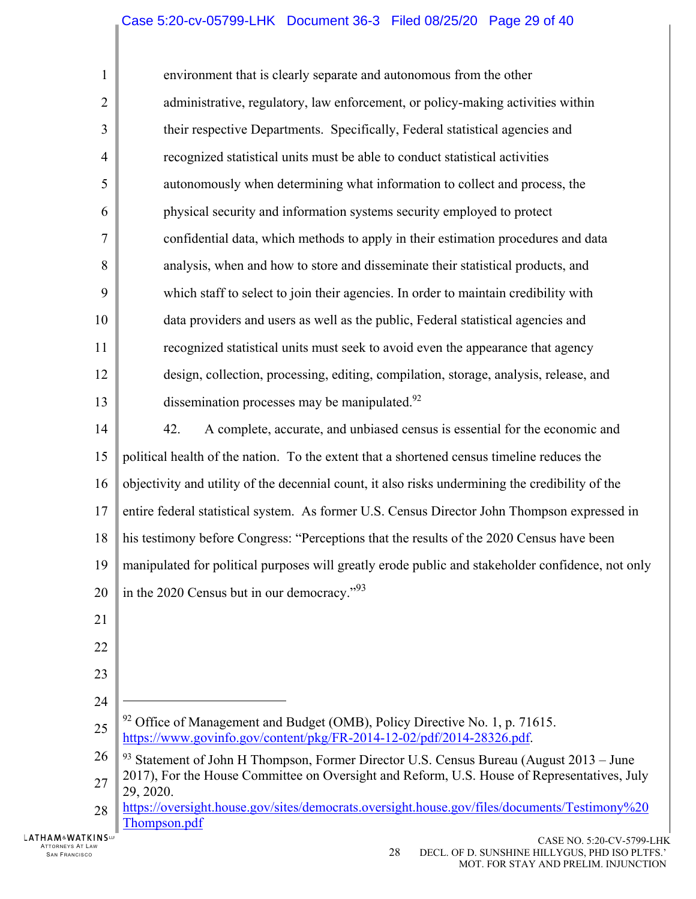1  $\mathcal{D}_{\mathcal{L}}$ 3 4 5 6 7 8 9 10 11 12 13 14 15 16 17 18 19 20 21 22 23 24 25 26 27 28 environment that is clearly separate and autonomous from the other administrative, regulatory, law enforcement, or policy-making activities within their respective Departments. Specifically, Federal statistical agencies and recognized statistical units must be able to conduct statistical activities autonomously when determining what information to collect and process, the physical security and information systems security employed to protect confidential data, which methods to apply in their estimation procedures and data analysis, when and how to store and disseminate their statistical products, and which staff to select to join their agencies. In order to maintain credibility with data providers and users as well as the public, Federal statistical agencies and recognized statistical units must seek to avoid even the appearance that agency design, collection, processing, editing, compilation, storage, analysis, release, and dissemination processes may be manipulated. $92$ 42. A complete, accurate, and unbiased census is essential for the economic and political health of the nation. To the extent that a shortened census timeline reduces the objectivity and utility of the decennial count, it also risks undermining the credibility of the entire federal statistical system. As former U.S. Census Director John Thompson expressed in his testimony before Congress: "Perceptions that the results of the 2020 Census have been manipulated for political purposes will greatly erode public and stakeholder confidence, not only in the 2020 Census but in our democracy."<sup>93</sup>  $\overline{a}$  $92$  Office of Management and Budget (OMB), Policy Directive No. 1, p. 71615. https://www.govinfo.gov/content/pkg/FR-2014-12-02/pdf/2014-28326.pdf.  $93$  Statement of John H Thompson, Former Director U.S. Census Bureau (August 2013 – June 2017), For the House Committee on Oversight and Reform, U.S. House of Representatives, July 29, 2020. https://oversight.house.gov/sites/democrats.oversight.house.gov/files/documents/Testimony%20

Thompson.pdf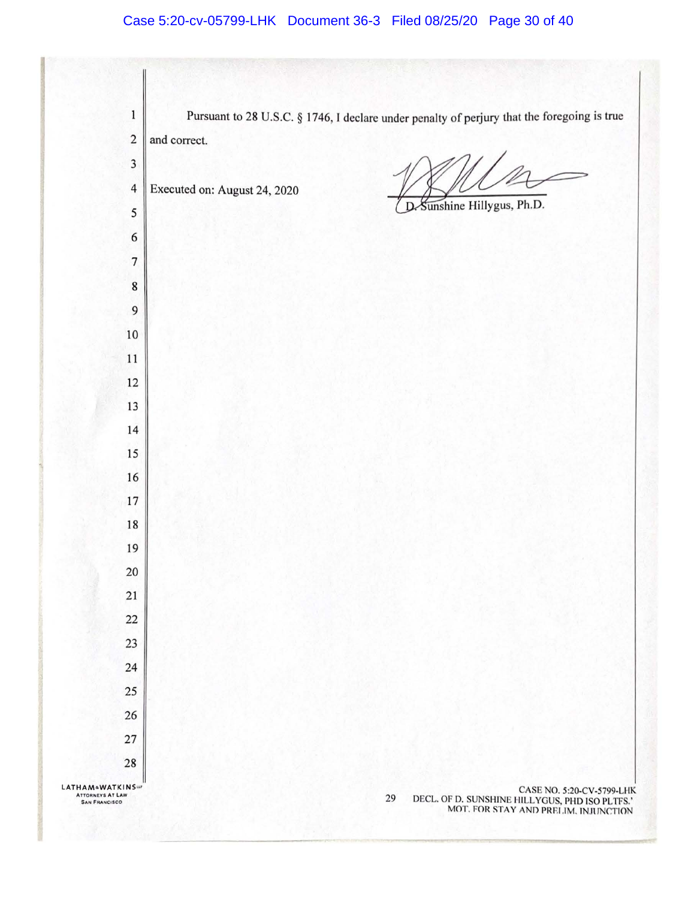$\mathbf{1}$ Pursuant to 28 U.S.C. § 1746, I declare under penalty of perjury that the foregoing is true 2 and correct. 4 Executed on: August 24, 2020 Sunshine Hillygus, Ph.D. D LATHAM<sup>a</sup>WATKINS ~ CASE NO. 5:20-CV-5799-LHK **A TTORN!VS AT LAW SAN FRANCISCO**  29 DECL. OF D. SUNSHINE HILLYGUS, PHD ISO PLTFS.' MOT. FOR STAY AND PRELIM. INJUNCTIO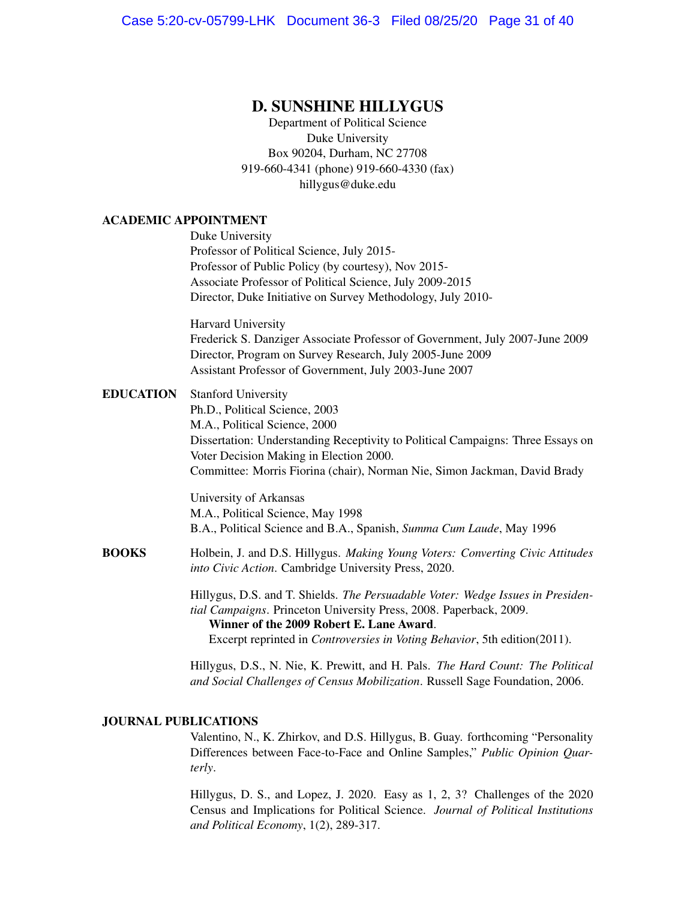### D. SUNSHINE HILLYGUS

Department of Political Science Duke University Box 90204, Durham, NC 27708 919-660-4341 (phone) 919-660-4330 (fax) hillygus@duke.edu

#### ACADEMIC APPOINTMENT

Duke University Professor of Political Science, July 2015- Professor of Public Policy (by courtesy), Nov 2015- Associate Professor of Political Science, July 2009-2015 Director, Duke Initiative on Survey Methodology, July 2010-

Harvard University Frederick S. Danziger Associate Professor of Government, July 2007-June 2009 Director, Program on Survey Research, July 2005-June 2009 Assistant Professor of Government, July 2003-June 2007

EDUCATION Stanford University Ph.D., Political Science, 2003 M.A., Political Science, 2000 Dissertation: Understanding Receptivity to Political Campaigns: Three Essays on Voter Decision Making in Election 2000. Committee: Morris Fiorina (chair), Norman Nie, Simon Jackman, David Brady

> University of Arkansas M.A., Political Science, May 1998 B.A., Political Science and B.A., Spanish, *Summa Cum Laude*, May 1996

BOOKS Holbein, J. and D.S. Hillygus. *Making Young Voters: Converting Civic Attitudes into Civic Action*. Cambridge University Press, 2020.

> Hillygus, D.S. and T. Shields. *The Persuadable Voter: Wedge Issues in Presidential Campaigns*. Princeton University Press, 2008. Paperback, 2009. Winner of the 2009 Robert E. Lane Award. Excerpt reprinted in *Controversies in Voting Behavior*, 5th edition(2011).

> Hillygus, D.S., N. Nie, K. Prewitt, and H. Pals. *The Hard Count: The Political and Social Challenges of Census Mobilization*. Russell Sage Foundation, 2006.

#### JOURNAL PUBLICATIONS

Valentino, N., K. Zhirkov, and D.S. Hillygus, B. Guay. forthcoming "Personality Differences between Face-to-Face and Online Samples," *Public Opinion Quarterly*.

Hillygus, D. S., and Lopez, J. 2020. Easy as 1, 2, 3? Challenges of the 2020 Census and Implications for Political Science. *Journal of Political Institutions and Political Economy*, 1(2), 289-317.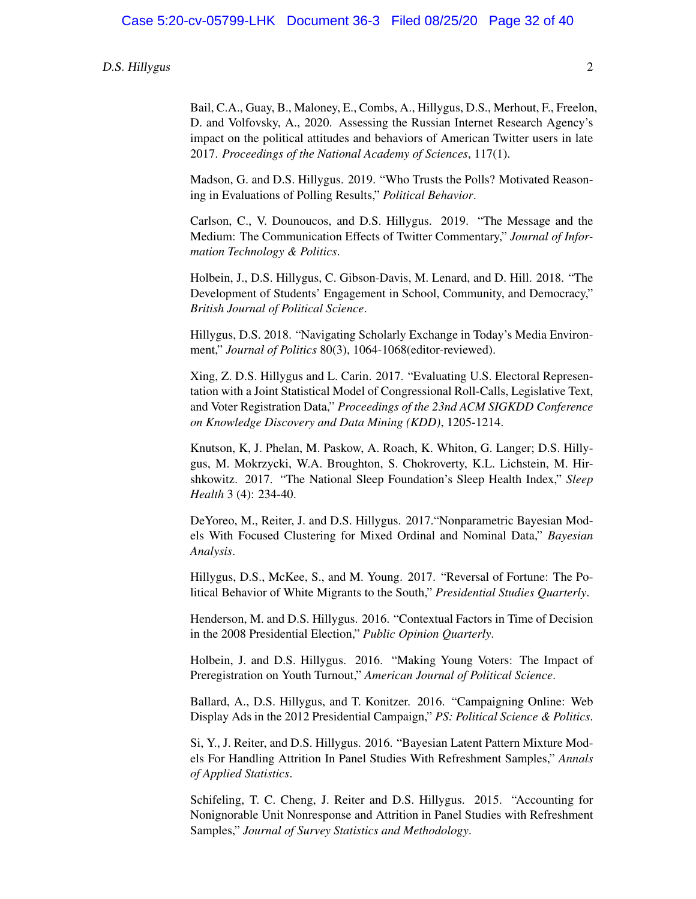Bail, C.A., Guay, B., Maloney, E., Combs, A., Hillygus, D.S., Merhout, F., Freelon, D. and Volfovsky, A., 2020. Assessing the Russian Internet Research Agency's impact on the political attitudes and behaviors of American Twitter users in late 2017. *Proceedings of the National Academy of Sciences*, 117(1).

Madson, G. and D.S. Hillygus. 2019. "Who Trusts the Polls? Motivated Reasoning in Evaluations of Polling Results," *Political Behavior*.

Carlson, C., V. Dounoucos, and D.S. Hillygus. 2019. "The Message and the Medium: The Communication Effects of Twitter Commentary," *Journal of Information Technology & Politics*.

Holbein, J., D.S. Hillygus, C. Gibson-Davis, M. Lenard, and D. Hill. 2018. "The Development of Students' Engagement in School, Community, and Democracy," *British Journal of Political Science*.

Hillygus, D.S. 2018. "Navigating Scholarly Exchange in Today's Media Environment," *Journal of Politics* 80(3), 1064-1068(editor-reviewed).

Xing, Z. D.S. Hillygus and L. Carin. 2017. "Evaluating U.S. Electoral Representation with a Joint Statistical Model of Congressional Roll-Calls, Legislative Text, and Voter Registration Data," *Proceedings of the 23nd ACM SIGKDD Conference on Knowledge Discovery and Data Mining (KDD)*, 1205-1214.

Knutson, K, J. Phelan, M. Paskow, A. Roach, K. Whiton, G. Langer; D.S. Hillygus, M. Mokrzycki, W.A. Broughton, S. Chokroverty, K.L. Lichstein, M. Hirshkowitz. 2017. "The National Sleep Foundation's Sleep Health Index," *Sleep Health* 3 (4): 234-40.

DeYoreo, M., Reiter, J. and D.S. Hillygus. 2017."Nonparametric Bayesian Models With Focused Clustering for Mixed Ordinal and Nominal Data," *Bayesian Analysis*.

Hillygus, D.S., McKee, S., and M. Young. 2017. "Reversal of Fortune: The Political Behavior of White Migrants to the South," *Presidential Studies Quarterly*.

Henderson, M. and D.S. Hillygus. 2016. "Contextual Factors in Time of Decision in the 2008 Presidential Election," *Public Opinion Quarterly*.

Holbein, J. and D.S. Hillygus. 2016. "Making Young Voters: The Impact of Preregistration on Youth Turnout," *American Journal of Political Science*.

Ballard, A., D.S. Hillygus, and T. Konitzer. 2016. "Campaigning Online: Web Display Ads in the 2012 Presidential Campaign," *PS: Political Science & Politics*.

Si, Y., J. Reiter, and D.S. Hillygus. 2016. "Bayesian Latent Pattern Mixture Models For Handling Attrition In Panel Studies With Refreshment Samples," *Annals of Applied Statistics*.

Schifeling, T. C. Cheng, J. Reiter and D.S. Hillygus. 2015. "Accounting for Nonignorable Unit Nonresponse and Attrition in Panel Studies with Refreshment Samples," *Journal of Survey Statistics and Methodology*.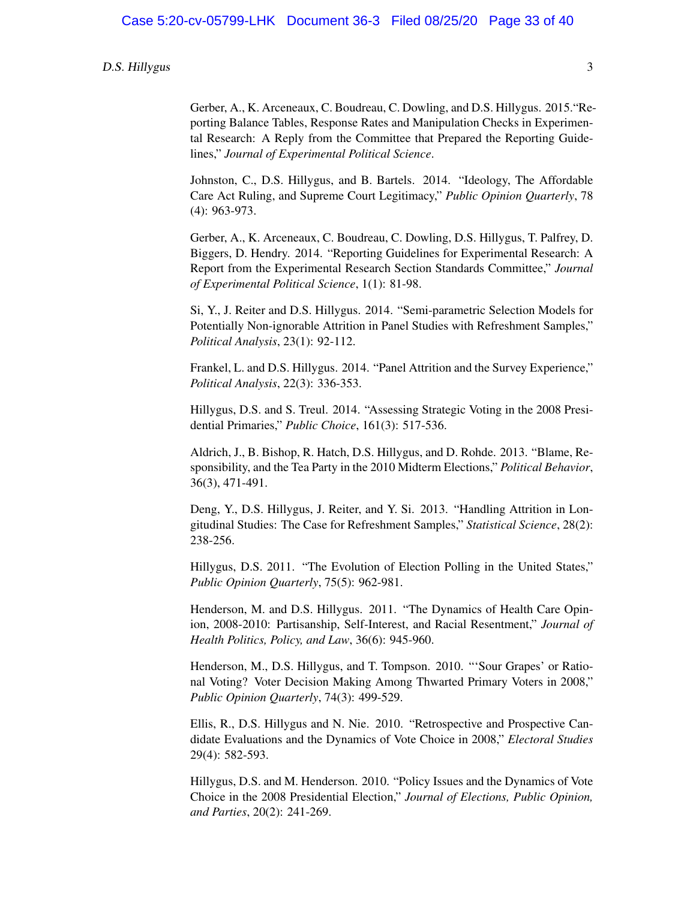Gerber, A., K. Arceneaux, C. Boudreau, C. Dowling, and D.S. Hillygus. 2015."Reporting Balance Tables, Response Rates and Manipulation Checks in Experimental Research: A Reply from the Committee that Prepared the Reporting Guidelines," *Journal of Experimental Political Science*.

Johnston, C., D.S. Hillygus, and B. Bartels. 2014. "Ideology, The Affordable Care Act Ruling, and Supreme Court Legitimacy," *Public Opinion Quarterly*, 78 (4): 963-973.

Gerber, A., K. Arceneaux, C. Boudreau, C. Dowling, D.S. Hillygus, T. Palfrey, D. Biggers, D. Hendry. 2014. "Reporting Guidelines for Experimental Research: A Report from the Experimental Research Section Standards Committee," *Journal of Experimental Political Science*, 1(1): 81-98.

Si, Y., J. Reiter and D.S. Hillygus. 2014. "Semi-parametric Selection Models for Potentially Non-ignorable Attrition in Panel Studies with Refreshment Samples," *Political Analysis*, 23(1): 92-112.

Frankel, L. and D.S. Hillygus. 2014. "Panel Attrition and the Survey Experience," *Political Analysis*, 22(3): 336-353.

Hillygus, D.S. and S. Treul. 2014. "Assessing Strategic Voting in the 2008 Presidential Primaries," *Public Choice*, 161(3): 517-536.

Aldrich, J., B. Bishop, R. Hatch, D.S. Hillygus, and D. Rohde. 2013. "Blame, Responsibility, and the Tea Party in the 2010 Midterm Elections," *Political Behavior*, 36(3), 471-491.

Deng, Y., D.S. Hillygus, J. Reiter, and Y. Si. 2013. "Handling Attrition in Longitudinal Studies: The Case for Refreshment Samples," *Statistical Science*, 28(2): 238-256.

Hillygus, D.S. 2011. "The Evolution of Election Polling in the United States," *Public Opinion Quarterly*, 75(5): 962-981.

Henderson, M. and D.S. Hillygus. 2011. "The Dynamics of Health Care Opinion, 2008-2010: Partisanship, Self-Interest, and Racial Resentment," *Journal of Health Politics, Policy, and Law*, 36(6): 945-960.

Henderson, M., D.S. Hillygus, and T. Tompson. 2010. "'Sour Grapes' or Rational Voting? Voter Decision Making Among Thwarted Primary Voters in 2008," *Public Opinion Quarterly*, 74(3): 499-529.

Ellis, R., D.S. Hillygus and N. Nie. 2010. "Retrospective and Prospective Candidate Evaluations and the Dynamics of Vote Choice in 2008," *Electoral Studies* 29(4): 582-593.

Hillygus, D.S. and M. Henderson. 2010. "Policy Issues and the Dynamics of Vote Choice in the 2008 Presidential Election," *Journal of Elections, Public Opinion, and Parties*, 20(2): 241-269.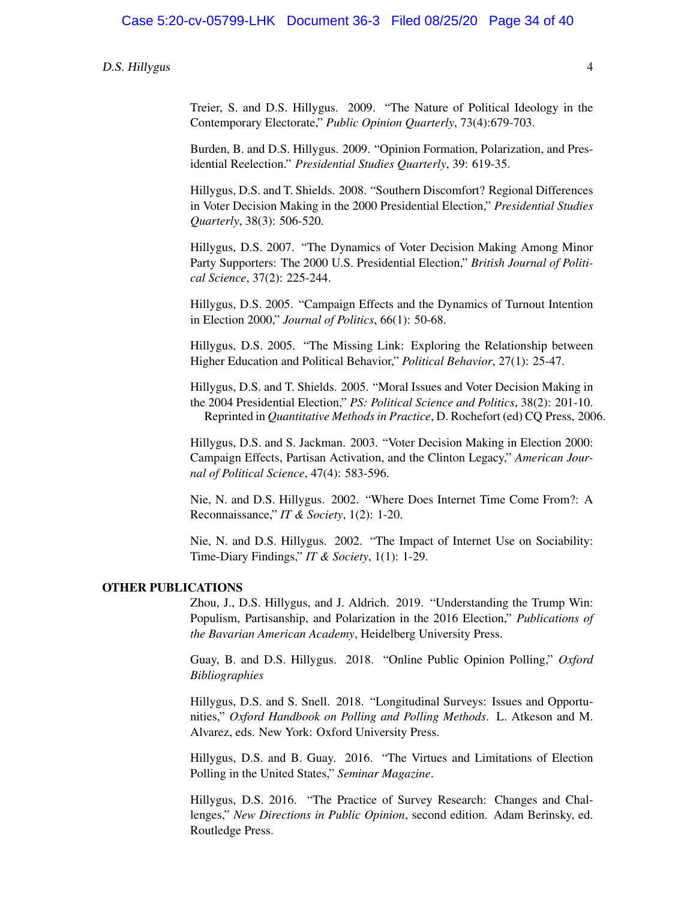Treier, S. and D.S. Hillygus. 2009. "The Nature of Political Ideology in the Contemporary Electorate," *Public Opinion Quarterly*, 73(4):679-703.

Burden, B. and D.S. Hillygus. 2009. "Opinion Formation, Polarization, and Presidential Reelection." *Presidential Studies Quarterly*, 39: 619-35.

Hillygus, D.S. and T. Shields. 2008. "Southern Discomfort? Regional Differences in Voter Decision Making in the 2000 Presidential Election," *Presidential Studies Quarterly*, 38(3): 506-520.

Hillygus, D.S. 2007. "The Dynamics of Voter Decision Making Among Minor Party Supporters: The 2000 U.S. Presidential Election," *British Journal of Political Science*, 37(2): 225-244.

Hillygus, D.S. 2005. "Campaign Effects and the Dynamics of Turnout Intention in Election 2000," *Journal of Politics*, 66(1): 50-68.

Hillygus, D.S. 2005. "The Missing Link: Exploring the Relationship between Higher Education and Political Behavior," *Political Behavior*, 27(1): 25-47.

Hillygus, D.S. and T. Shields. 2005. "Moral Issues and Voter Decision Making in the 2004 Presidential Election," *PS: Political Science and Politics*, 38(2): 201-10. Reprinted in *Quantitative Methods in Practice*, D. Rochefort (ed) CQ Press, 2006.

Hillygus, D.S. and S. Jackman. 2003. "Voter Decision Making in Election 2000: Campaign Effects, Partisan Activation, and the Clinton Legacy," *American Journal of Political Science*, 47(4): 583-596.

Nie, N. and D.S. Hillygus. 2002. "Where Does Internet Time Come From?: A Reconnaissance," *IT & Society*, 1(2): 1-20.

Nie, N. and D.S. Hillygus. 2002. "The Impact of Internet Use on Sociability: Time-Diary Findings," *IT & Society*, 1(1): 1-29.

#### OTHER PUBLICATIONS

Zhou, J., D.S. Hillygus, and J. Aldrich. 2019. "Understanding the Trump Win: Populism, Partisanship, and Polarization in the 2016 Election," *Publications of the Bavarian American Academy*, Heidelberg University Press.

Guay, B. and D.S. Hillygus. 2018. "Online Public Opinion Polling," *Oxford Bibliographies*

Hillygus, D.S. and S. Snell. 2018. "Longitudinal Surveys: Issues and Opportunities," *Oxford Handbook on Polling and Polling Methods*. L. Atkeson and M. Alvarez, eds. New York: Oxford University Press.

Hillygus, D.S. and B. Guay. 2016. "The Virtues and Limitations of Election Polling in the United States," *Seminar Magazine*.

Hillygus, D.S. 2016. "The Practice of Survey Research: Changes and Challenges," *New Directions in Public Opinion*, second edition. Adam Berinsky, ed. Routledge Press.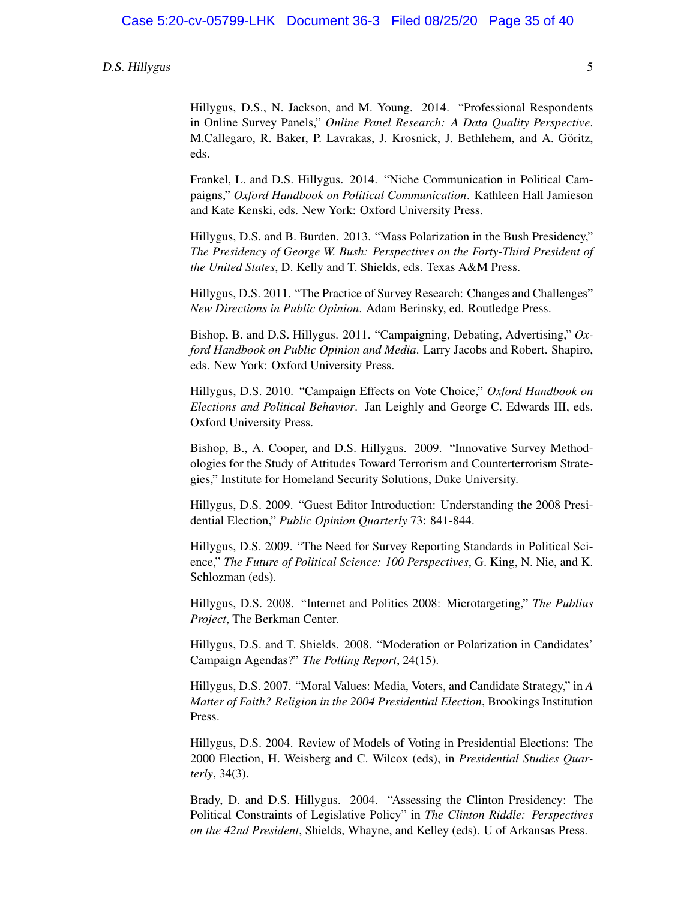Hillygus, D.S., N. Jackson, and M. Young. 2014. "Professional Respondents in Online Survey Panels," *Online Panel Research: A Data Quality Perspective*. M.Callegaro, R. Baker, P. Lavrakas, J. Krosnick, J. Bethlehem, and A. Goritz, ¨ eds.

Frankel, L. and D.S. Hillygus. 2014. "Niche Communication in Political Campaigns," *Oxford Handbook on Political Communication*. Kathleen Hall Jamieson and Kate Kenski, eds. New York: Oxford University Press.

Hillygus, D.S. and B. Burden. 2013. "Mass Polarization in the Bush Presidency," *The Presidency of George W. Bush: Perspectives on the Forty-Third President of the United States*, D. Kelly and T. Shields, eds. Texas A&M Press.

Hillygus, D.S. 2011. "The Practice of Survey Research: Changes and Challenges" *New Directions in Public Opinion*. Adam Berinsky, ed. Routledge Press.

Bishop, B. and D.S. Hillygus. 2011. "Campaigning, Debating, Advertising," *Oxford Handbook on Public Opinion and Media*. Larry Jacobs and Robert. Shapiro, eds. New York: Oxford University Press.

Hillygus, D.S. 2010. "Campaign Effects on Vote Choice," *Oxford Handbook on Elections and Political Behavior*. Jan Leighly and George C. Edwards III, eds. Oxford University Press.

Bishop, B., A. Cooper, and D.S. Hillygus. 2009. "Innovative Survey Methodologies for the Study of Attitudes Toward Terrorism and Counterterrorism Strategies," Institute for Homeland Security Solutions, Duke University.

Hillygus, D.S. 2009. "Guest Editor Introduction: Understanding the 2008 Presidential Election," *Public Opinion Quarterly* 73: 841-844.

Hillygus, D.S. 2009. "The Need for Survey Reporting Standards in Political Science," *The Future of Political Science: 100 Perspectives*, G. King, N. Nie, and K. Schlozman (eds).

Hillygus, D.S. 2008. "Internet and Politics 2008: Microtargeting," *The Publius Project*, The Berkman Center.

Hillygus, D.S. and T. Shields. 2008. "Moderation or Polarization in Candidates' Campaign Agendas?" *The Polling Report*, 24(15).

Hillygus, D.S. 2007. "Moral Values: Media, Voters, and Candidate Strategy," in *A Matter of Faith? Religion in the 2004 Presidential Election*, Brookings Institution Press.

Hillygus, D.S. 2004. Review of Models of Voting in Presidential Elections: The 2000 Election, H. Weisberg and C. Wilcox (eds), in *Presidential Studies Quarterly*, 34(3).

Brady, D. and D.S. Hillygus. 2004. "Assessing the Clinton Presidency: The Political Constraints of Legislative Policy" in *The Clinton Riddle: Perspectives on the 42nd President*, Shields, Whayne, and Kelley (eds). U of Arkansas Press.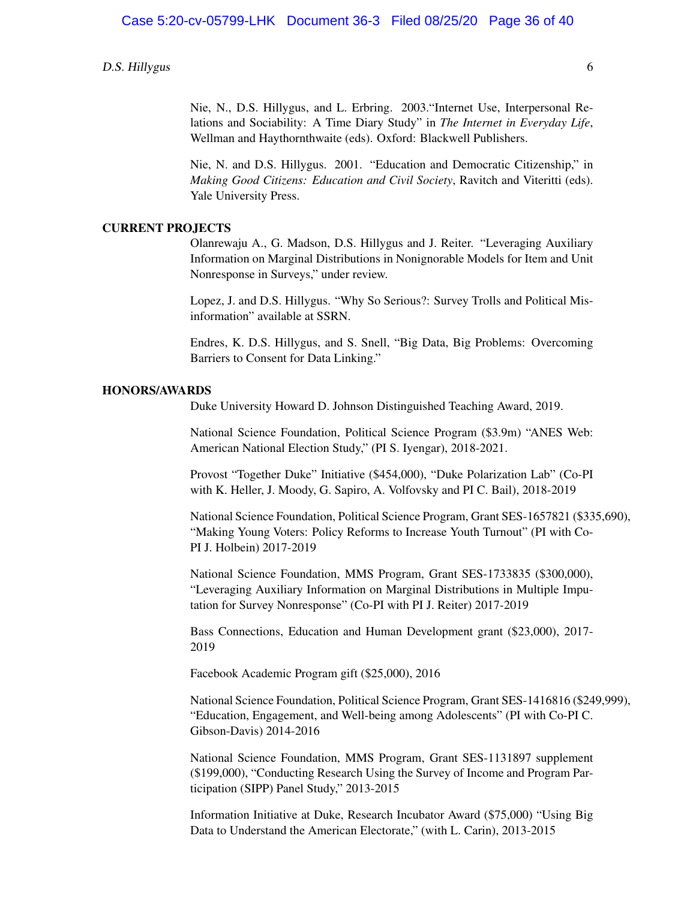Nie, N., D.S. Hillygus, and L. Erbring. 2003."Internet Use, Interpersonal Relations and Sociability: A Time Diary Study" in *The Internet in Everyday Life*, Wellman and Haythornthwaite (eds). Oxford: Blackwell Publishers.

Nie, N. and D.S. Hillygus. 2001. "Education and Democratic Citizenship," in *Making Good Citizens: Education and Civil Society*, Ravitch and Viteritti (eds). Yale University Press.

#### CURRENT PROJECTS

Olanrewaju A., G. Madson, D.S. Hillygus and J. Reiter. "Leveraging Auxiliary Information on Marginal Distributions in Nonignorable Models for Item and Unit Nonresponse in Surveys," under review.

Lopez, J. and D.S. Hillygus. "Why So Serious?: Survey Trolls and Political Misinformation" available at SSRN.

Endres, K. D.S. Hillygus, and S. Snell, "Big Data, Big Problems: Overcoming Barriers to Consent for Data Linking."

#### HONORS/AWARDS

Duke University Howard D. Johnson Distinguished Teaching Award, 2019.

National Science Foundation, Political Science Program (\$3.9m) "ANES Web: American National Election Study," (PI S. Iyengar), 2018-2021.

Provost "Together Duke" Initiative (\$454,000), "Duke Polarization Lab" (Co-PI with K. Heller, J. Moody, G. Sapiro, A. Volfovsky and PI C. Bail), 2018-2019

National Science Foundation, Political Science Program, Grant SES-1657821 (\$335,690), "Making Young Voters: Policy Reforms to Increase Youth Turnout" (PI with Co-PI J. Holbein) 2017-2019

National Science Foundation, MMS Program, Grant SES-1733835 (\$300,000), "Leveraging Auxiliary Information on Marginal Distributions in Multiple Imputation for Survey Nonresponse" (Co-PI with PI J. Reiter) 2017-2019

Bass Connections, Education and Human Development grant (\$23,000), 2017- 2019

Facebook Academic Program gift (\$25,000), 2016

National Science Foundation, Political Science Program, Grant SES-1416816 (\$249,999), "Education, Engagement, and Well-being among Adolescents" (PI with Co-PI C. Gibson-Davis) 2014-2016

National Science Foundation, MMS Program, Grant SES-1131897 supplement (\$199,000), "Conducting Research Using the Survey of Income and Program Participation (SIPP) Panel Study," 2013-2015

Information Initiative at Duke, Research Incubator Award (\$75,000) "Using Big Data to Understand the American Electorate," (with L. Carin), 2013-2015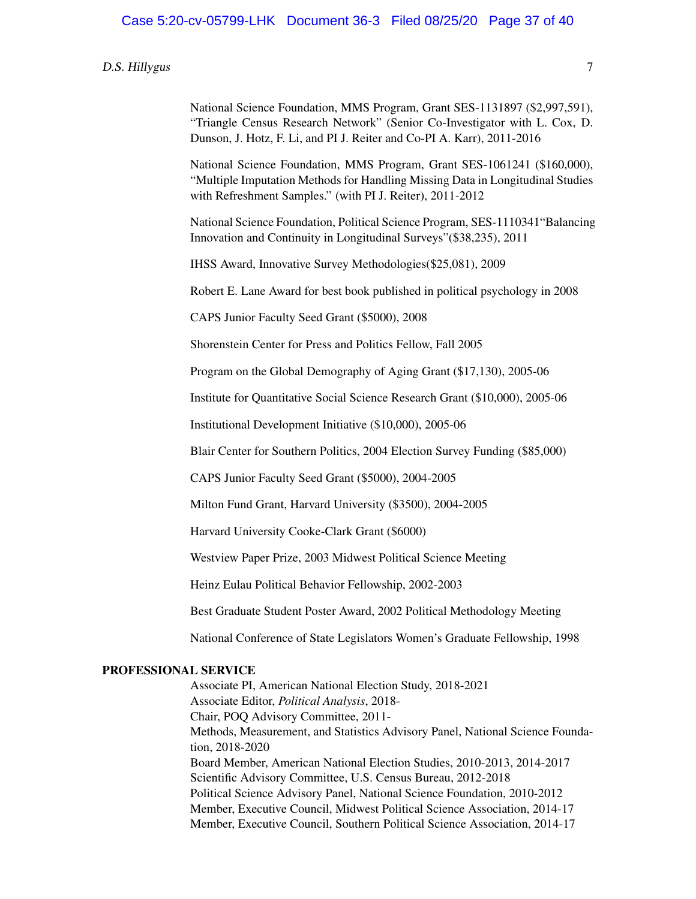National Science Foundation, MMS Program, Grant SES-1131897 (\$2,997,591), "Triangle Census Research Network" (Senior Co-Investigator with L. Cox, D. Dunson, J. Hotz, F. Li, and PI J. Reiter and Co-PI A. Karr), 2011-2016

National Science Foundation, MMS Program, Grant SES-1061241 (\$160,000), "Multiple Imputation Methods for Handling Missing Data in Longitudinal Studies with Refreshment Samples." (with PI J. Reiter), 2011-2012

National Science Foundation, Political Science Program, SES-1110341"Balancing Innovation and Continuity in Longitudinal Surveys"(\$38,235), 2011

IHSS Award, Innovative Survey Methodologies(\$25,081), 2009

Robert E. Lane Award for best book published in political psychology in 2008

CAPS Junior Faculty Seed Grant (\$5000), 2008

Shorenstein Center for Press and Politics Fellow, Fall 2005

Program on the Global Demography of Aging Grant (\$17,130), 2005-06

Institute for Quantitative Social Science Research Grant (\$10,000), 2005-06

Institutional Development Initiative (\$10,000), 2005-06

Blair Center for Southern Politics, 2004 Election Survey Funding (\$85,000)

CAPS Junior Faculty Seed Grant (\$5000), 2004-2005

Milton Fund Grant, Harvard University (\$3500), 2004-2005

Harvard University Cooke-Clark Grant (\$6000)

Westview Paper Prize, 2003 Midwest Political Science Meeting

Heinz Eulau Political Behavior Fellowship, 2002-2003

Best Graduate Student Poster Award, 2002 Political Methodology Meeting

National Conference of State Legislators Women's Graduate Fellowship, 1998

#### PROFESSIONAL SERVICE

Associate PI, American National Election Study, 2018-2021 Associate Editor, *Political Analysis*, 2018- Chair, POQ Advisory Committee, 2011- Methods, Measurement, and Statistics Advisory Panel, National Science Foundation, 2018-2020 Board Member, American National Election Studies, 2010-2013, 2014-2017 Scientific Advisory Committee, U.S. Census Bureau, 2012-2018 Political Science Advisory Panel, National Science Foundation, 2010-2012 Member, Executive Council, Midwest Political Science Association, 2014-17 Member, Executive Council, Southern Political Science Association, 2014-17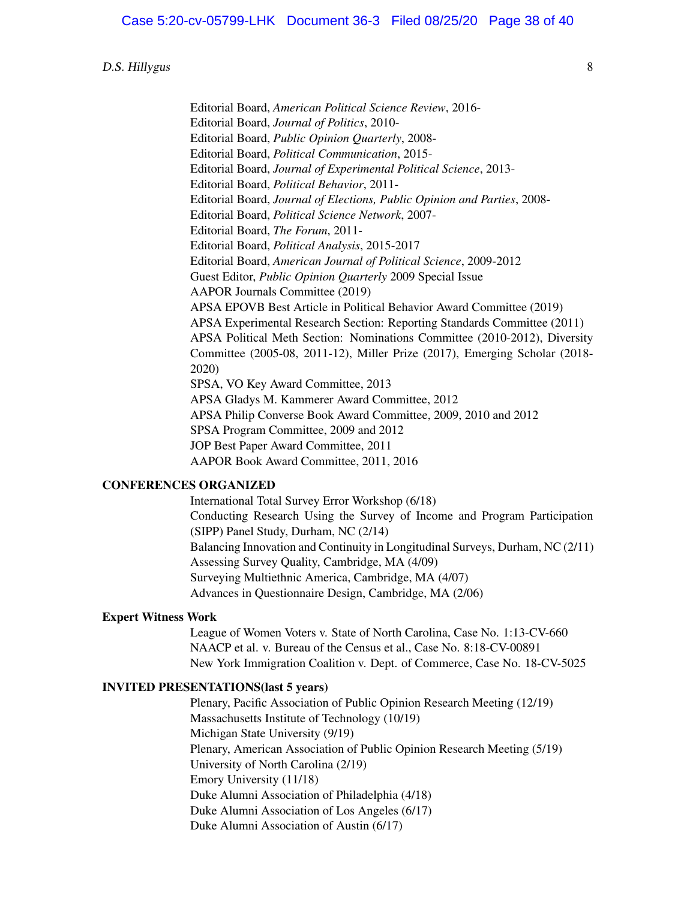Editorial Board, *American Political Science Review*, 2016- Editorial Board, *Journal of Politics*, 2010- Editorial Board, *Public Opinion Quarterly*, 2008- Editorial Board, *Political Communication*, 2015- Editorial Board, *Journal of Experimental Political Science*, 2013- Editorial Board, *Political Behavior*, 2011- Editorial Board, *Journal of Elections, Public Opinion and Parties*, 2008- Editorial Board, *Political Science Network*, 2007- Editorial Board, *The Forum*, 2011- Editorial Board, *Political Analysis*, 2015-2017 Editorial Board, *American Journal of Political Science*, 2009-2012 Guest Editor, *Public Opinion Quarterly* 2009 Special Issue AAPOR Journals Committee (2019) APSA EPOVB Best Article in Political Behavior Award Committee (2019) APSA Experimental Research Section: Reporting Standards Committee (2011) APSA Political Meth Section: Nominations Committee (2010-2012), Diversity Committee (2005-08, 2011-12), Miller Prize (2017), Emerging Scholar (2018- 2020) SPSA, VO Key Award Committee, 2013 APSA Gladys M. Kammerer Award Committee, 2012 APSA Philip Converse Book Award Committee, 2009, 2010 and 2012 SPSA Program Committee, 2009 and 2012 JOP Best Paper Award Committee, 2011 AAPOR Book Award Committee, 2011, 2016

#### CONFERENCES ORGANIZED

International Total Survey Error Workshop (6/18) Conducting Research Using the Survey of Income and Program Participation (SIPP) Panel Study, Durham, NC (2/14) Balancing Innovation and Continuity in Longitudinal Surveys, Durham, NC (2/11) Assessing Survey Quality, Cambridge, MA (4/09) Surveying Multiethnic America, Cambridge, MA (4/07) Advances in Questionnaire Design, Cambridge, MA (2/06)

#### Expert Witness Work

League of Women Voters v. State of North Carolina, Case No. 1:13-CV-660 NAACP et al. v. Bureau of the Census et al., Case No. 8:18-CV-00891 New York Immigration Coalition v. Dept. of Commerce, Case No. 18-CV-5025

#### INVITED PRESENTATIONS(last 5 years)

Plenary, Pacific Association of Public Opinion Research Meeting (12/19) Massachusetts Institute of Technology (10/19) Michigan State University (9/19) Plenary, American Association of Public Opinion Research Meeting (5/19) University of North Carolina (2/19) Emory University (11/18) Duke Alumni Association of Philadelphia (4/18) Duke Alumni Association of Los Angeles (6/17) Duke Alumni Association of Austin (6/17)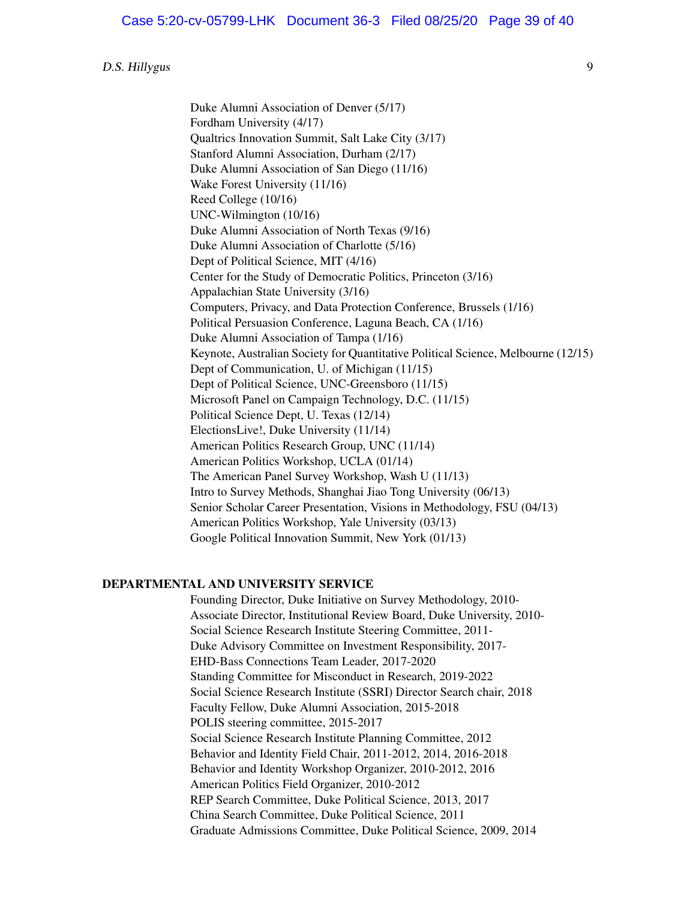Duke Alumni Association of Denver (5/17) Fordham University (4/17) Qualtrics Innovation Summit, Salt Lake City (3/17) Stanford Alumni Association, Durham (2/17) Duke Alumni Association of San Diego (11/16) Wake Forest University (11/16) Reed College (10/16) UNC-Wilmington (10/16) Duke Alumni Association of North Texas (9/16) Duke Alumni Association of Charlotte (5/16) Dept of Political Science, MIT (4/16) Center for the Study of Democratic Politics, Princeton (3/16) Appalachian State University (3/16) Computers, Privacy, and Data Protection Conference, Brussels (1/16) Political Persuasion Conference, Laguna Beach, CA (1/16) Duke Alumni Association of Tampa (1/16) Keynote, Australian Society for Quantitative Political Science, Melbourne (12/15) Dept of Communication, U. of Michigan (11/15) Dept of Political Science, UNC-Greensboro (11/15) Microsoft Panel on Campaign Technology, D.C. (11/15) Political Science Dept, U. Texas (12/14) ElectionsLive!, Duke University (11/14) American Politics Research Group, UNC (11/14) American Politics Workshop, UCLA (01/14) The American Panel Survey Workshop, Wash U (11/13) Intro to Survey Methods, Shanghai Jiao Tong University (06/13) Senior Scholar Career Presentation, Visions in Methodology, FSU (04/13) American Politics Workshop, Yale University (03/13) Google Political Innovation Summit, New York (01/13)

#### DEPARTMENTAL AND UNIVERSITY SERVICE

Founding Director, Duke Initiative on Survey Methodology, 2010- Associate Director, Institutional Review Board, Duke University, 2010- Social Science Research Institute Steering Committee, 2011- Duke Advisory Committee on Investment Responsibility, 2017- EHD-Bass Connections Team Leader, 2017-2020 Standing Committee for Misconduct in Research, 2019-2022 Social Science Research Institute (SSRI) Director Search chair, 2018 Faculty Fellow, Duke Alumni Association, 2015-2018 POLIS steering committee, 2015-2017 Social Science Research Institute Planning Committee, 2012 Behavior and Identity Field Chair, 2011-2012, 2014, 2016-2018 Behavior and Identity Workshop Organizer, 2010-2012, 2016 American Politics Field Organizer, 2010-2012 REP Search Committee, Duke Political Science, 2013, 2017 China Search Committee, Duke Political Science, 2011 Graduate Admissions Committee, Duke Political Science, 2009, 2014